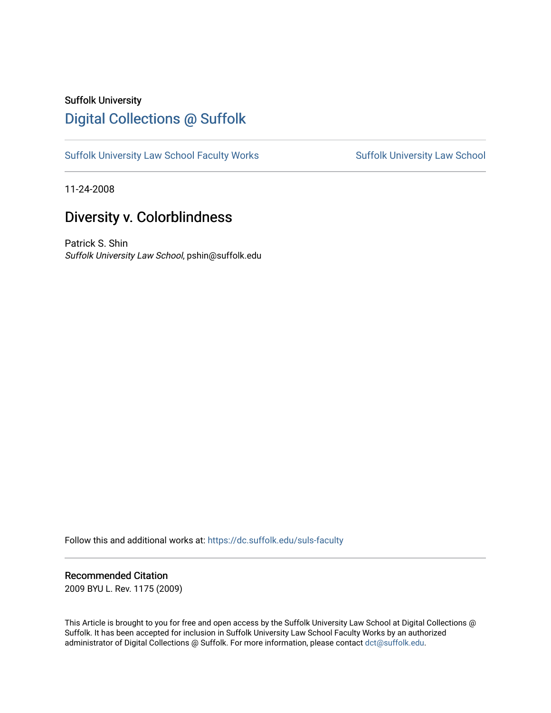# Suffolk University [Digital Collections @ Suffolk](https://dc.suffolk.edu/)

[Suffolk University Law School Faculty Works](https://dc.suffolk.edu/suls-faculty) Suffolk University Law School

11-24-2008

# Diversity v. Colorblindness

Patrick S. Shin Suffolk University Law School, pshin@suffolk.edu

Follow this and additional works at: [https://dc.suffolk.edu/suls-faculty](https://dc.suffolk.edu/suls-faculty?utm_source=dc.suffolk.edu%2Fsuls-faculty%2F7&utm_medium=PDF&utm_campaign=PDFCoverPages) 

# Recommended Citation

2009 BYU L. Rev. 1175 (2009)

This Article is brought to you for free and open access by the Suffolk University Law School at Digital Collections @ Suffolk. It has been accepted for inclusion in Suffolk University Law School Faculty Works by an authorized administrator of Digital Collections @ Suffolk. For more information, please contact [dct@suffolk.edu.](mailto:dct@suffolk.edu)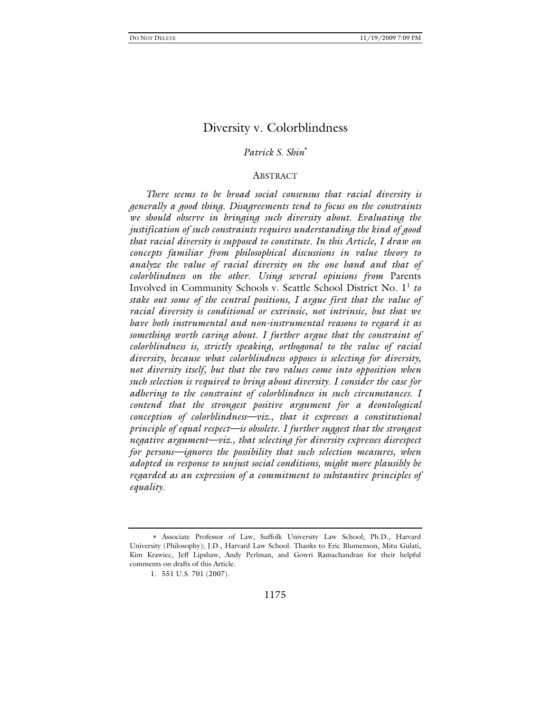### *Patrick S. Shin*

## ABSTRACT

*There seems to be broad social consensus that racial diversity is generally a good thing. Disagreements tend to focus on the constraints we should observe in bringing such diversity about. Evaluating the justification of such constraints requires understanding the kind of good that racial diversity is supposed to constitute. In this Article, I draw on concepts familiar from philosophical discussions in value theory to analyze the value of racial diversity on the one hand and that of colorblindness on the other. Using several opinions from* Parents Involved in Community Schools v. Seattle School District No. 1<sup>1</sup> to *stake out some of the central positions, I argue first that the value of racial diversity is conditional or extrinsic, not intrinsic, but that we have both instrumental and non-instrumental reasons to regard it as something worth caring about. I further argue that the constraint of colorblindness is, strictly speaking, orthogonal to the value of racial diversity, because what colorblindness opposes is selecting for diversity, not diversity itself, but that the two values come into opposition when such selection is required to bring about diversity. I consider the case for adhering to the constraint of colorblindness in such circumstances. I contend that the strongest positive argument for a deontological conception of colorblindness—viz., that it expresses a constitutional principle of equal respect—is obsolete. I further suggest that the strongest negative argument—viz., that selecting for diversity expresses disrespect for persons—ignores the possibility that such selection measures, when adopted in response to unjust social conditions, might more plausibly be regarded as an expression of a commitment to substantive principles of equality.* 

Associate Professor of Law, Suffolk University Law School; Ph.D., Harvard University (Philosophy); J.D., Harvard Law School. Thanks to Eric Blumenson, Mitu Gulati, Kim Krawiec, Jeff Lipshaw, Andy Perlman, and Gowri Ramachandran for their helpful comments on drafts of this Article.

 <sup>1. 551</sup> U.S. 701 (2007).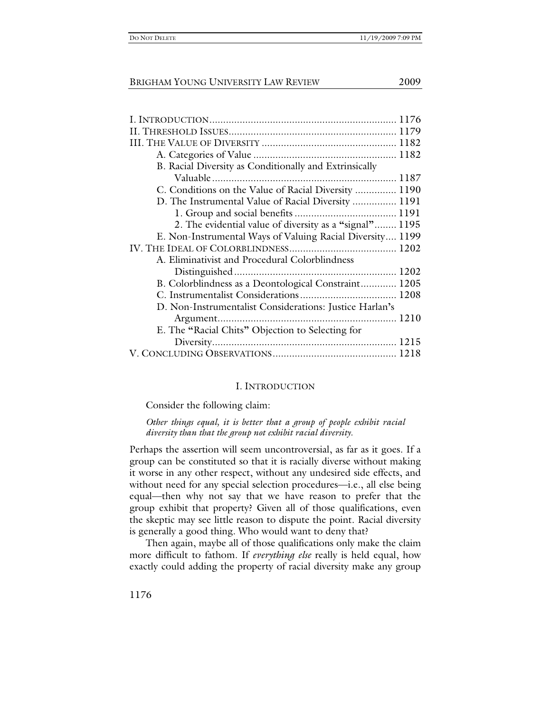| B. Racial Diversity as Conditionally and Extrinsically    |
|-----------------------------------------------------------|
|                                                           |
| C. Conditions on the Value of Racial Diversity  1190      |
| D. The Instrumental Value of Racial Diversity  1191       |
|                                                           |
| 2. The evidential value of diversity as a "signal" 1195   |
| E. Non-Instrumental Ways of Valuing Racial Diversity 1199 |
|                                                           |
| A. Eliminativist and Procedural Colorblindness            |
|                                                           |
| B. Colorblindness as a Deontological Constraint 1205      |
|                                                           |
| D. Non-Instrumentalist Considerations: Justice Harlan's   |
|                                                           |
| E. The "Racial Chits" Objection to Selecting for          |
|                                                           |
|                                                           |
|                                                           |

# I. INTRODUCTION

Consider the following claim:

*Other things equal, it is better that a group of people exhibit racial diversity than that the group not exhibit racial diversity.* 

Perhaps the assertion will seem uncontroversial, as far as it goes. If a group can be constituted so that it is racially diverse without making it worse in any other respect, without any undesired side effects, and without need for any special selection procedures—i.e., all else being equal—then why not say that we have reason to prefer that the group exhibit that property? Given all of those qualifications, even the skeptic may see little reason to dispute the point. Racial diversity is generally a good thing. Who would want to deny that?

Then again, maybe all of those qualifications only make the claim more difficult to fathom. If *everything else* really is held equal, how exactly could adding the property of racial diversity make any group

1176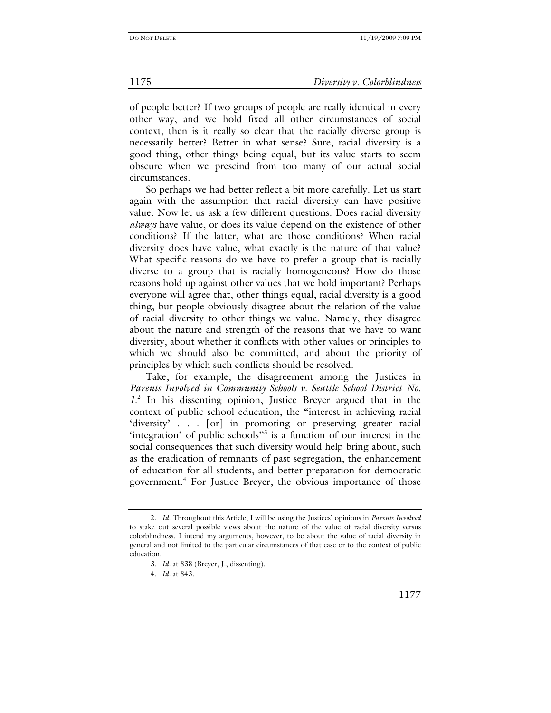of people better? If two groups of people are really identical in every other way, and we hold fixed all other circumstances of social context, then is it really so clear that the racially diverse group is necessarily better? Better in what sense? Sure, racial diversity is a good thing, other things being equal, but its value starts to seem obscure when we prescind from too many of our actual social circumstances.

So perhaps we had better reflect a bit more carefully. Let us start again with the assumption that racial diversity can have positive value. Now let us ask a few different questions. Does racial diversity *always* have value, or does its value depend on the existence of other conditions? If the latter, what are those conditions? When racial diversity does have value, what exactly is the nature of that value? What specific reasons do we have to prefer a group that is racially diverse to a group that is racially homogeneous? How do those reasons hold up against other values that we hold important? Perhaps everyone will agree that, other things equal, racial diversity is a good thing, but people obviously disagree about the relation of the value of racial diversity to other things we value. Namely, they disagree about the nature and strength of the reasons that we have to want diversity, about whether it conflicts with other values or principles to which we should also be committed, and about the priority of principles by which such conflicts should be resolved.

Take, for example, the disagreement among the Justices in *Parents Involved in Community Schools v. Seattle School District No. 1*. 2 In his dissenting opinion, Justice Breyer argued that in the context of public school education, the "interest in achieving racial 'diversity' . . . [or] in promoting or preserving greater racial 'integration' of public schools"<sup>3</sup> is a function of our interest in the social consequences that such diversity would help bring about, such as the eradication of remnants of past segregation, the enhancement of education for all students, and better preparation for democratic government.<sup>4</sup> For Justice Breyer, the obvious importance of those

 <sup>2.</sup> *Id*. Throughout this Article, I will be using the Justices' opinions in *Parents Involved* to stake out several possible views about the nature of the value of racial diversity versus colorblindness. I intend my arguments, however, to be about the value of racial diversity in general and not limited to the particular circumstances of that case or to the context of public education.

<sup>3</sup>*. Id.* at 838 (Breyer, J., dissenting).

<sup>4</sup>*. Id.* at 843.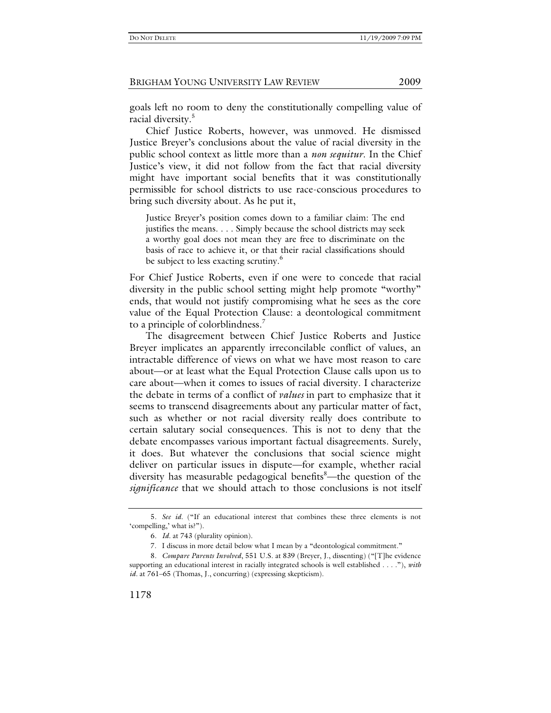goals left no room to deny the constitutionally compelling value of racial diversity.<sup>5</sup>

Chief Justice Roberts, however, was unmoved. He dismissed Justice Breyer's conclusions about the value of racial diversity in the public school context as little more than a *non sequitur*. In the Chief Justice's view, it did not follow from the fact that racial diversity might have important social benefits that it was constitutionally permissible for school districts to use race-conscious procedures to bring such diversity about. As he put it,

Justice Breyer's position comes down to a familiar claim: The end justifies the means. . . . Simply because the school districts may seek a worthy goal does not mean they are free to discriminate on the basis of race to achieve it, or that their racial classifications should be subject to less exacting scrutiny.<sup>6</sup>

For Chief Justice Roberts, even if one were to concede that racial diversity in the public school setting might help promote "worthy" ends, that would not justify compromising what he sees as the core value of the Equal Protection Clause: a deontological commitment to a principle of colorblindness.<sup>7</sup>

The disagreement between Chief Justice Roberts and Justice Breyer implicates an apparently irreconcilable conflict of values, an intractable difference of views on what we have most reason to care about—or at least what the Equal Protection Clause calls upon us to care about—when it comes to issues of racial diversity. I characterize the debate in terms of a conflict of *values* in part to emphasize that it seems to transcend disagreements about any particular matter of fact, such as whether or not racial diversity really does contribute to certain salutary social consequences. This is not to deny that the debate encompasses various important factual disagreements. Surely, it does. But whatever the conclusions that social science might deliver on particular issues in dispute—for example, whether racial diversity has measurable pedagogical benefits<sup>8</sup>—the question of the *significance* that we should attach to those conclusions is not itself

<sup>5</sup>*. See id.* ("If an educational interest that combines these three elements is not 'compelling,' what is?").

<sup>6</sup>*. Id.* at 743 (plurality opinion).

 <sup>7.</sup> I discuss in more detail below what I mean by a "deontological commitment."

<sup>8</sup>*. Compare Parents Involved*, 551 U.S. at 839 (Breyer, J., dissenting) ("[T]he evidence supporting an educational interest in racially integrated schools is well established . . . ."), *with id.* at 761–65 (Thomas, J., concurring) (expressing skepticism).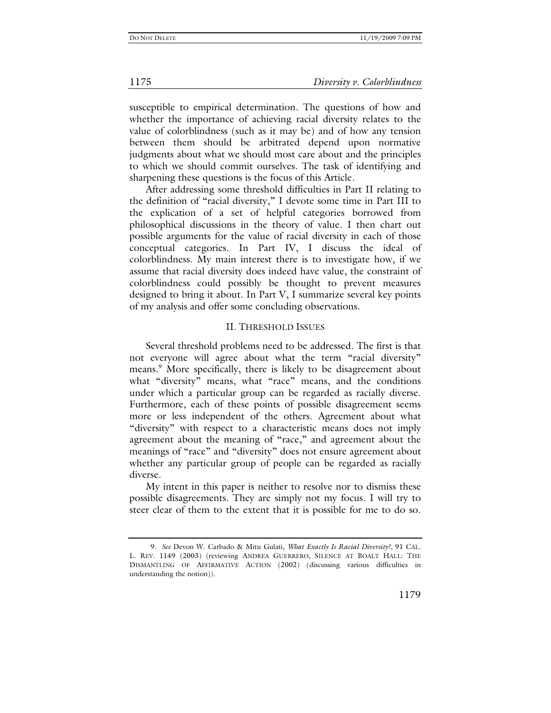susceptible to empirical determination. The questions of how and whether the importance of achieving racial diversity relates to the value of colorblindness (such as it may be) and of how any tension between them should be arbitrated depend upon normative judgments about what we should most care about and the principles to which we should commit ourselves. The task of identifying and sharpening these questions is the focus of this Article.

After addressing some threshold difficulties in Part II relating to the definition of "racial diversity," I devote some time in Part III to the explication of a set of helpful categories borrowed from philosophical discussions in the theory of value. I then chart out possible arguments for the value of racial diversity in each of those conceptual categories. In Part IV, I discuss the ideal of colorblindness. My main interest there is to investigate how, if we assume that racial diversity does indeed have value, the constraint of colorblindness could possibly be thought to prevent measures designed to bring it about. In Part V, I summarize several key points of my analysis and offer some concluding observations.

# II. THRESHOLD ISSUES

Several threshold problems need to be addressed. The first is that not everyone will agree about what the term "racial diversity" means.<sup>9</sup> More specifically, there is likely to be disagreement about what "diversity" means, what "race" means, and the conditions under which a particular group can be regarded as racially diverse. Furthermore, each of these points of possible disagreement seems more or less independent of the others. Agreement about what "diversity" with respect to a characteristic means does not imply agreement about the meaning of "race," and agreement about the meanings of "race" and "diversity" does not ensure agreement about whether any particular group of people can be regarded as racially diverse.

My intent in this paper is neither to resolve nor to dismiss these possible disagreements. They are simply not my focus. I will try to steer clear of them to the extent that it is possible for me to do so.

<sup>9</sup>*. See* Devon W. Carbado & Mitu Gulati, *What Exactly Is Racial Diversity?*, 91 CAL. L. REV. 1149 (2003) (reviewing ANDREA GUERRERO, SILENCE AT BOALT HALL: THE DISMANTLING OF AFFIRMATIVE ACTION (2002) (discussing various difficulties in understanding the notion)).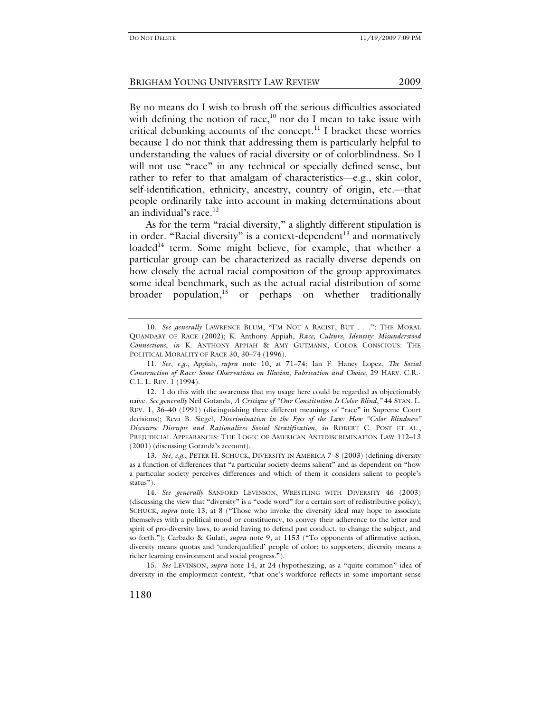By no means do I wish to brush off the serious difficulties associated with defining the notion of race, $10$  nor do I mean to take issue with critical debunking accounts of the concept.<sup>11</sup> I bracket these worries because I do not think that addressing them is particularly helpful to understanding the values of racial diversity or of colorblindness. So I will not use "race" in any technical or specially defined sense, but rather to refer to that amalgam of characteristics—e.g., skin color, self-identification, ethnicity, ancestry, country of origin, etc.—that people ordinarily take into account in making determinations about an individual's race.<sup>12</sup>

As for the term "racial diversity," a slightly different stipulation is in order. "Racial diversity" is a context-dependent<sup>13</sup> and normatively loaded<sup>14</sup> term. Some might believe, for example, that whether a particular group can be characterized as racially diverse depends on how closely the actual racial composition of the group approximates some ideal benchmark, such as the actual racial distribution of some broader population, $15$  or perhaps on whether traditionally

13*. See, e.g.*, PETER H. SCHUCK, DIVERSITY IN AMERICA 7–8 (2003) (defining diversity as a function of differences that "a particular society deems salient" and as dependent on "how a particular society perceives differences and which of them it considers salient to people's status").

14*. See generally* SANFORD LEVINSON, WRESTLING WITH DIVERSITY 46 (2003) (discussing the view that "diversity" is a "code word" for a certain sort of redistributive policy); SCHUCK, *supra* note 13, at 8 ("Those who invoke the diversity ideal may hope to associate themselves with a political mood or constituency, to convey their adherence to the letter and spirit of pro-diversity laws, to avoid having to defend past conduct, to change the subject, and so forth."); Carbado & Gulati, *supra* note 9, at 1153 ("To opponents of affirmative action, diversity means quotas and 'underqualified' people of color; to supporters, diversity means a richer learning environment and social progress.").

15*. See* LEVINSON, *supra* note 14, at 24 (hypothesizing, as a "quite common" idea of diversity in the employment context, "that one's workforce reflects in some important sense

<sup>10.</sup> See generally LAWRENCE BLUM, "I'M NOT A RACIST, BUT . . .": THE MORAL QUANDARY OF RACE (2002); K. Anthony Appiah, *Race, Culture, Identity: Misunderstood Connections*, *in* K. ANTHONY APPIAH & AMY GUTMANN, COLOR CONSCIOUS: THE POLITICAL MORALITY OF RACE 30, 30-74 (1996).

<sup>11</sup>*. See*, *e.g.*, Appiah, *supra* note 10, at 71–74; Ian F. Haney Lopez, *The Social Construction of Race: Some Observations on Illusion, Fabrication and Choice*, 29 HARV. C.R.- C.L. L. REV. 1 (1994).

 <sup>12.</sup> I do this with the awareness that my usage here could be regarded as objectionably naïve. *See generally* Neil Gotanda, *A Critique of "Our Constitution Is Color-Blind*,*"* 44 STAN. L. REV. 1, 36–40 (1991) (distinguishing three different meanings of "race" in Supreme Court decisions); Reva B. Siegel, *Discrimination in the Eyes of the Law: How "Color Blindness" Discourse Disrupts and Rationalizes Social Stratification*, *in* ROBERT C. POST ET AL., PREJUDICIAL APPEARANCES: THE LOGIC OF AMERICAN ANTIDISCRIMINATION LAW 112–13 (2001) (discussing Gotanda's account).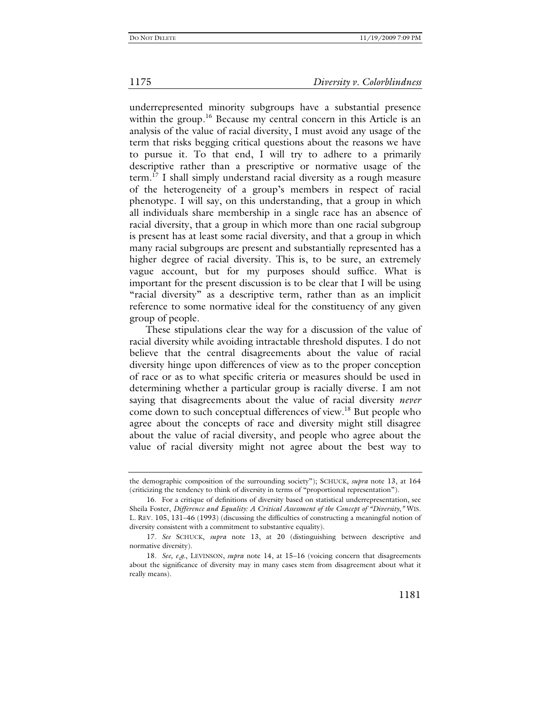underrepresented minority subgroups have a substantial presence within the group.<sup>16</sup> Because my central concern in this Article is an analysis of the value of racial diversity, I must avoid any usage of the term that risks begging critical questions about the reasons we have to pursue it. To that end, I will try to adhere to a primarily descriptive rather than a prescriptive or normative usage of the term.17 I shall simply understand racial diversity as a rough measure of the heterogeneity of a group's members in respect of racial phenotype. I will say, on this understanding, that a group in which all individuals share membership in a single race has an absence of racial diversity, that a group in which more than one racial subgroup is present has at least some racial diversity, and that a group in which many racial subgroups are present and substantially represented has a higher degree of racial diversity. This is, to be sure, an extremely vague account, but for my purposes should suffice. What is important for the present discussion is to be clear that I will be using "racial diversity" as a descriptive term, rather than as an implicit reference to some normative ideal for the constituency of any given group of people.

These stipulations clear the way for a discussion of the value of racial diversity while avoiding intractable threshold disputes. I do not believe that the central disagreements about the value of racial diversity hinge upon differences of view as to the proper conception of race or as to what specific criteria or measures should be used in determining whether a particular group is racially diverse. I am not saying that disagreements about the value of racial diversity *never* come down to such conceptual differences of view.18 But people who agree about the concepts of race and diversity might still disagree about the value of racial diversity, and people who agree about the value of racial diversity might not agree about the best way to

the demographic composition of the surrounding society"); SCHUCK, *supra* note 13, at 164 (criticizing the tendency to think of diversity in terms of "proportional representation").

 <sup>16.</sup> For a critique of definitions of diversity based on statistical underrepresentation, see Sheila Foster, *Difference and Equality: A Critical Assessment of the Concept of "Diversity*,*"* WIS. L. REV. 105, 131–46 (1993) (discussing the difficulties of constructing a meaningful notion of diversity consistent with a commitment to substantive equality).

<sup>17</sup>*. See* SCHUCK, *supra* note 13, at 20 (distinguishing between descriptive and normative diversity).

<sup>18</sup>*. See, e.g.*, LEVINSON, *supra* note 14, at 15–16 (voicing concern that disagreements about the significance of diversity may in many cases stem from disagreement about what it really means).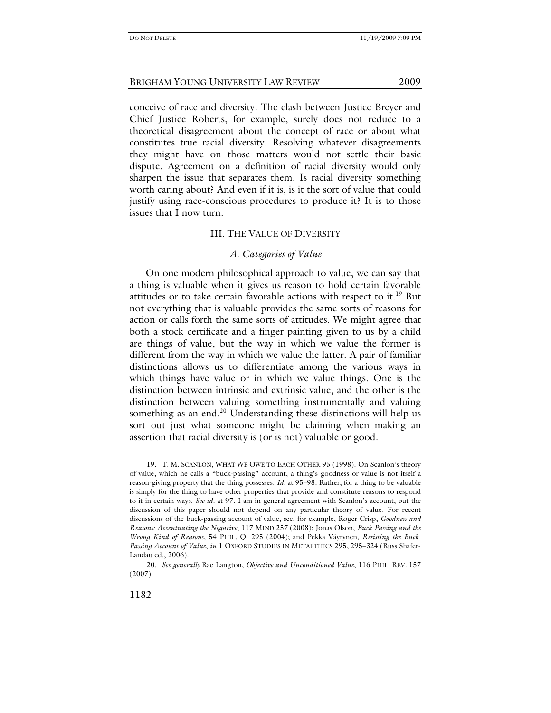conceive of race and diversity. The clash between Justice Breyer and Chief Justice Roberts, for example, surely does not reduce to a theoretical disagreement about the concept of race or about what constitutes true racial diversity. Resolving whatever disagreements they might have on those matters would not settle their basic dispute. Agreement on a definition of racial diversity would only sharpen the issue that separates them. Is racial diversity something worth caring about? And even if it is, is it the sort of value that could justify using race-conscious procedures to produce it? It is to those issues that I now turn.

# III. THE VALUE OF DIVERSITY

## *A. Categories of Value*

On one modern philosophical approach to value, we can say that a thing is valuable when it gives us reason to hold certain favorable attitudes or to take certain favorable actions with respect to it.<sup>19</sup> But not everything that is valuable provides the same sorts of reasons for action or calls forth the same sorts of attitudes. We might agree that both a stock certificate and a finger painting given to us by a child are things of value, but the way in which we value the former is different from the way in which we value the latter. A pair of familiar distinctions allows us to differentiate among the various ways in which things have value or in which we value things. One is the distinction between intrinsic and extrinsic value, and the other is the distinction between valuing something instrumentally and valuing something as an end.<sup>20</sup> Understanding these distinctions will help us sort out just what someone might be claiming when making an assertion that racial diversity is (or is not) valuable or good.

 <sup>19.</sup> T. M. SCANLON, WHAT WE OWE TO EACH OTHER 95 (1998). On Scanlon's theory of value, which he calls a "buck-passing" account, a thing's goodness or value is not itself a reason-giving property that the thing possesses. *Id.* at 95–98. Rather, for a thing to be valuable is simply for the thing to have other properties that provide and constitute reasons to respond to it in certain ways. *See id.* at 97. I am in general agreement with Scanlon's account, but the discussion of this paper should not depend on any particular theory of value. For recent discussions of the buck-passing account of value, see, for example, Roger Crisp, *Goodness and Reasons: Accentuating the Negative*, 117 MIND 257 (2008); Jonas Olson, *Buck-Passing and the Wrong Kind of Reasons*, 54 PHIL. Q. 295 (2004); and Pekka Väyrynen, *Resisting the Buck-Passing Account of Value*, *in* 1 OXFORD STUDIES IN METAETHICS 295, 295–324 (Russ Shafer-Landau ed., 2006).

<sup>20</sup>*. See generally* Rae Langton, *Objective and Unconditioned Value*, 116 PHIL. REV. 157 (2007).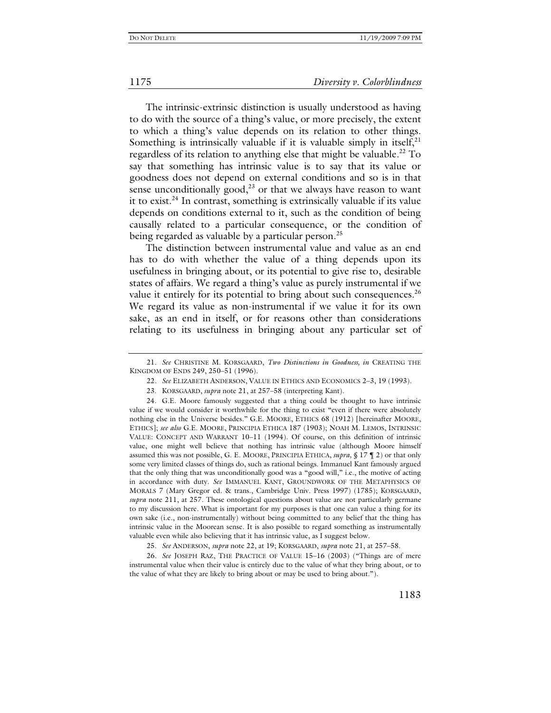The intrinsic-extrinsic distinction is usually understood as having to do with the source of a thing's value, or more precisely, the extent to which a thing's value depends on its relation to other things. Something is intrinsically valuable if it is valuable simply in itself, $2<sup>1</sup>$ regardless of its relation to anything else that might be valuable.<sup>22</sup> To say that something has intrinsic value is to say that its value or goodness does not depend on external conditions and so is in that sense unconditionally good, $^{23}$  or that we always have reason to want it to exist.<sup>24</sup> In contrast, something is extrinsically valuable if its value depends on conditions external to it, such as the condition of being causally related to a particular consequence, or the condition of being regarded as valuable by a particular person.<sup>25</sup>

The distinction between instrumental value and value as an end has to do with whether the value of a thing depends upon its usefulness in bringing about, or its potential to give rise to, desirable states of affairs. We regard a thing's value as purely instrumental if we value it entirely for its potential to bring about such consequences.<sup>26</sup> We regard its value as non-instrumental if we value it for its own sake, as an end in itself, or for reasons other than considerations relating to its usefulness in bringing about any particular set of

<sup>21</sup>*. See* CHRISTINE M. KORSGAARD, *Two Distinctions in Goodness, in* CREATING THE KINGDOM OF ENDS 249, 250–51 (1996).

<sup>22</sup>*. See* ELIZABETH ANDERSON, VALUE IN ETHICS AND ECONOMICS 2–3, 19 (1993).

 <sup>23.</sup> KORSGAARD, *supra* note 21, at 257–58 (interpreting Kant).

 <sup>24.</sup> G.E. Moore famously suggested that a thing could be thought to have intrinsic value if we would consider it worthwhile for the thing to exist "even if there were absolutely nothing else in the Universe besides." G.E. MOORE, ETHICS 68 (1912) [hereinafter MOORE, ETHICS]; *see also* G.E. MOORE, PRINCIPIA ETHICA 187 (1903); NOAH M. LEMOS, INTRINSIC VALUE: CONCEPT AND WARRANT 10–11 (1994). Of course, on this definition of intrinsic value, one might well believe that nothing has intrinsic value (although Moore himself assumed this was not possible, G. E. MOORE, PRINCIPIA ETHICA, *supra,* § 17 ¶ 2) or that only some very limited classes of things do, such as rational beings. Immanuel Kant famously argued that the only thing that was unconditionally good was a "good will," i.e., the motive of acting in accordance with duty. *See* IMMANUEL KANT, GROUNDWORK OF THE METAPHYSICS OF MORALS 7 (Mary Gregor ed. & trans., Cambridge Univ. Press 1997) (1785); KORSGAARD, *supra* note 211, at 257. These ontological questions about value are not particularly germane to my discussion here. What is important for my purposes is that one can value a thing for its own sake (i.e., non-instrumentally) without being committed to any belief that the thing has intrinsic value in the Moorean sense. It is also possible to regard something as instrumentally valuable even while also believing that it has intrinsic value, as I suggest below.

<sup>25</sup>*. See* ANDERSON, *supra* note 22, at 19; KORSGAARD, *supra* note 21, at 257–58.

<sup>26</sup>*. See* JOSEPH RAZ, THE PRACTICE OF VALUE 15–16 (2003) ("Things are of mere instrumental value when their value is entirely due to the value of what they bring about, or to the value of what they are likely to bring about or may be used to bring about.").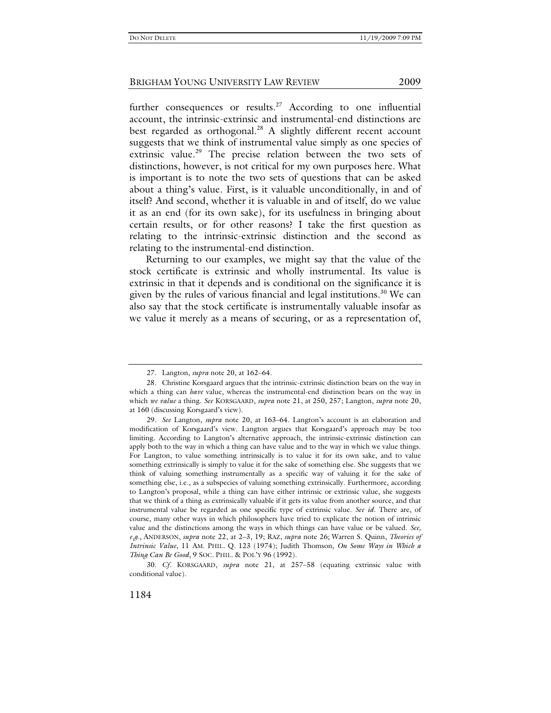further consequences or results.<sup>27</sup> According to one influential account, the intrinsic-extrinsic and instrumental-end distinctions are best regarded as orthogonal.<sup>28</sup> A slightly different recent account suggests that we think of instrumental value simply as one species of extrinsic value.<sup>29</sup> The precise relation between the two sets of distinctions, however, is not critical for my own purposes here. What is important is to note the two sets of questions that can be asked about a thing's value. First, is it valuable unconditionally, in and of itself? And second, whether it is valuable in and of itself, do we value it as an end (for its own sake), for its usefulness in bringing about certain results, or for other reasons? I take the first question as relating to the intrinsic-extrinsic distinction and the second as relating to the instrumental-end distinction.

Returning to our examples, we might say that the value of the stock certificate is extrinsic and wholly instrumental. Its value is extrinsic in that it depends and is conditional on the significance it is given by the rules of various financial and legal institutions.<sup>30</sup> We can also say that the stock certificate is instrumentally valuable insofar as we value it merely as a means of securing, or as a representation of,

30*. Cf.* KORSGAARD, *supra* note 21, at 257–58 (equating extrinsic value with conditional value).

<sup>27</sup>*.* Langton, *supra* note 20, at 162–64.

 <sup>28.</sup> Christine Korsgaard argues that the intrinsic-extrinsic distinction bears on the way in which a thing can *have* value, whereas the instrumental-end distinction bears on the way in which *we value* a thing. *See* KORSGAARD, *supra* note 21, at 250, 257; Langton, *supra* note 20, at 160 (discussing Korsgaard's view).

<sup>29</sup>*. See* Langton, *supra* note 20, at 163–64. Langton's account is an elaboration and modification of Korsgaard's view. Langton argues that Korsgaard's approach may be too limiting. According to Langton's alternative approach, the intrinsic-extrinsic distinction can apply both to the way in which a thing can have value and to the way in which we value things. For Langton, to value something intrinsically is to value it for its own sake, and to value something extrinsically is simply to value it for the sake of something else. She suggests that we think of valuing something instrumentally as a specific way of valuing it for the sake of something else, i.e., as a subspecies of valuing something extrinsically. Furthermore, according to Langton's proposal, while a thing can have either intrinsic or extrinsic value, she suggests that we think of a thing as extrinsically valuable if it gets its value from another source, and that instrumental value be regarded as one specific type of extrinsic value. *See id*. There are, of course, many other ways in which philosophers have tried to explicate the notion of intrinsic value and the distinctions among the ways in which things can have value or be valued. *See, e.g.*, ANDERSON, *supra* note 22, at 2–3, 19; RAZ, *supra* note 26; Warren S. Quinn, *Theories of Intrinsic Value*, 11 AM. PHIL. Q. 123 (1974); Judith Thomson, *On Some Ways in Which a Thing Can Be Good*, 9 SOC. PHIL. & POL'Y 96 (1992).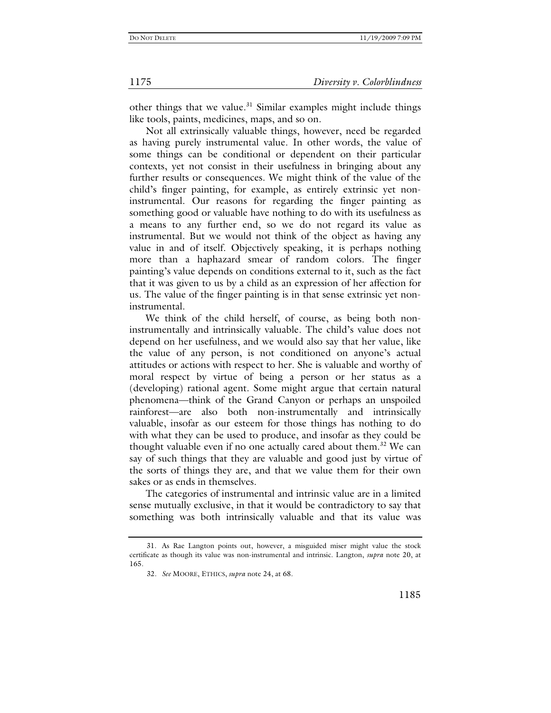other things that we value.<sup>31</sup> Similar examples might include things like tools, paints, medicines, maps, and so on.

Not all extrinsically valuable things, however, need be regarded as having purely instrumental value. In other words, the value of some things can be conditional or dependent on their particular contexts, yet not consist in their usefulness in bringing about any further results or consequences. We might think of the value of the child's finger painting, for example, as entirely extrinsic yet noninstrumental. Our reasons for regarding the finger painting as something good or valuable have nothing to do with its usefulness as a means to any further end, so we do not regard its value as instrumental. But we would not think of the object as having any value in and of itself. Objectively speaking, it is perhaps nothing more than a haphazard smear of random colors. The finger painting's value depends on conditions external to it, such as the fact that it was given to us by a child as an expression of her affection for us. The value of the finger painting is in that sense extrinsic yet noninstrumental.

We think of the child herself, of course, as being both noninstrumentally and intrinsically valuable. The child's value does not depend on her usefulness, and we would also say that her value, like the value of any person, is not conditioned on anyone's actual attitudes or actions with respect to her. She is valuable and worthy of moral respect by virtue of being a person or her status as a (developing) rational agent. Some might argue that certain natural phenomena—think of the Grand Canyon or perhaps an unspoiled rainforest—are also both non-instrumentally and intrinsically valuable, insofar as our esteem for those things has nothing to do with what they can be used to produce, and insofar as they could be thought valuable even if no one actually cared about them.<sup>32</sup> We can say of such things that they are valuable and good just by virtue of the sorts of things they are, and that we value them for their own sakes or as ends in themselves.

The categories of instrumental and intrinsic value are in a limited sense mutually exclusive, in that it would be contradictory to say that something was both intrinsically valuable and that its value was

 <sup>31.</sup> As Rae Langton points out, however, a misguided miser might value the stock certificate as though its value was non-instrumental and intrinsic. Langton, *supra* note 20, at 165.

<sup>32</sup>*. See* MOORE, ETHICS, *supra* note 24, at 68.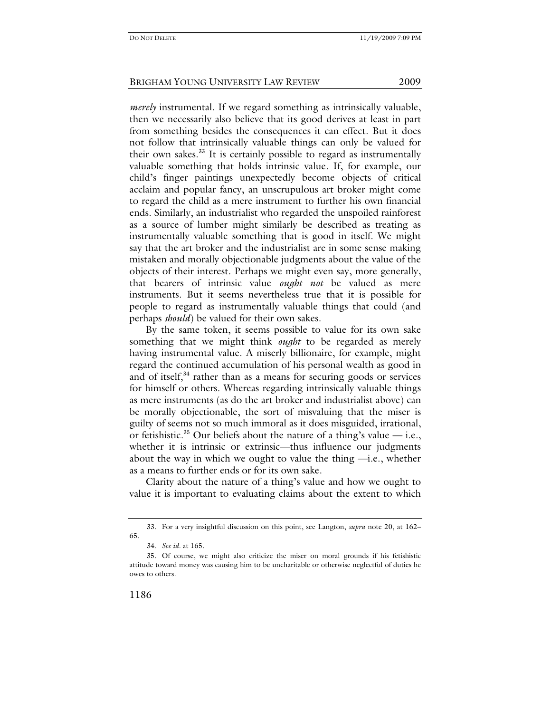*merely* instrumental. If we regard something as intrinsically valuable, then we necessarily also believe that its good derives at least in part from something besides the consequences it can effect. But it does not follow that intrinsically valuable things can only be valued for their own sakes.<sup>33</sup> It is certainly possible to regard as instrumentally valuable something that holds intrinsic value. If, for example, our child's finger paintings unexpectedly become objects of critical acclaim and popular fancy, an unscrupulous art broker might come to regard the child as a mere instrument to further his own financial ends. Similarly, an industrialist who regarded the unspoiled rainforest as a source of lumber might similarly be described as treating as instrumentally valuable something that is good in itself. We might say that the art broker and the industrialist are in some sense making mistaken and morally objectionable judgments about the value of the objects of their interest. Perhaps we might even say, more generally, that bearers of intrinsic value *ought not* be valued as mere instruments. But it seems nevertheless true that it is possible for people to regard as instrumentally valuable things that could (and perhaps *should*) be valued for their own sakes.

By the same token, it seems possible to value for its own sake something that we might think *ought* to be regarded as merely having instrumental value. A miserly billionaire, for example, might regard the continued accumulation of his personal wealth as good in and of itself, $34$  rather than as a means for securing goods or services for himself or others. Whereas regarding intrinsically valuable things as mere instruments (as do the art broker and industrialist above) can be morally objectionable, the sort of misvaluing that the miser is guilty of seems not so much immoral as it does misguided, irrational, or fetishistic.<sup>35</sup> Our beliefs about the nature of a thing's value  $-$  i.e., whether it is intrinsic or extrinsic—thus influence our judgments about the way in which we ought to value the thing  $-i.e.,$  whether as a means to further ends or for its own sake.

Clarity about the nature of a thing's value and how we ought to value it is important to evaluating claims about the extent to which

 <sup>33.</sup> For a very insightful discussion on this point, see Langton, *supra* note 20, at 162– 65.

<sup>34</sup>*. See id.* at 165.

 <sup>35.</sup> Of course, we might also criticize the miser on moral grounds if his fetishistic attitude toward money was causing him to be uncharitable or otherwise neglectful of duties he owes to others.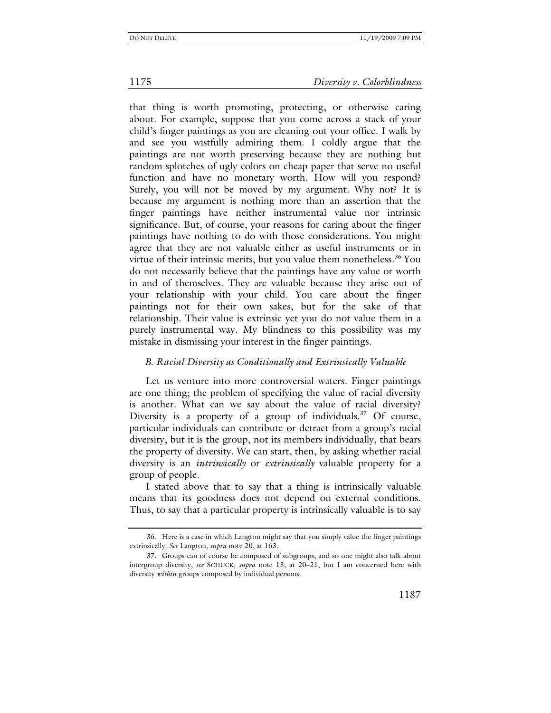that thing is worth promoting, protecting, or otherwise caring about. For example, suppose that you come across a stack of your child's finger paintings as you are cleaning out your office. I walk by and see you wistfully admiring them. I coldly argue that the paintings are not worth preserving because they are nothing but random splotches of ugly colors on cheap paper that serve no useful function and have no monetary worth. How will you respond? Surely, you will not be moved by my argument. Why not? It is because my argument is nothing more than an assertion that the finger paintings have neither instrumental value nor intrinsic significance. But, of course, your reasons for caring about the finger paintings have nothing to do with those considerations. You might agree that they are not valuable either as useful instruments or in virtue of their intrinsic merits, but you value them nonetheless.<sup>36</sup> You do not necessarily believe that the paintings have any value or worth in and of themselves. They are valuable because they arise out of your relationship with your child. You care about the finger paintings not for their own sakes, but for the sake of that relationship. Their value is extrinsic yet you do not value them in a purely instrumental way. My blindness to this possibility was my mistake in dismissing your interest in the finger paintings.

# *B. Racial Diversity as Conditionally and Extrinsically Valuable*

Let us venture into more controversial waters. Finger paintings are one thing; the problem of specifying the value of racial diversity is another. What can we say about the value of racial diversity? Diversity is a property of a group of individuals.<sup>37</sup> Of course, particular individuals can contribute or detract from a group's racial diversity, but it is the group, not its members individually, that bears the property of diversity. We can start, then, by asking whether racial diversity is an *intrinsically* or *extrinsically* valuable property for a group of people.

I stated above that to say that a thing is intrinsically valuable means that its goodness does not depend on external conditions. Thus, to say that a particular property is intrinsically valuable is to say

 <sup>36.</sup> Here is a case in which Langton might say that you simply value the finger paintings extrinsically. *See* Langton, *supra* note 20, at 163.

 <sup>37.</sup> Groups can of course be composed of subgroups, and so one might also talk about intergroup diversity, *see* SCHUCK, *supra* note 13, at 20–21, but I am concerned here with diversity *within* groups composed by individual persons.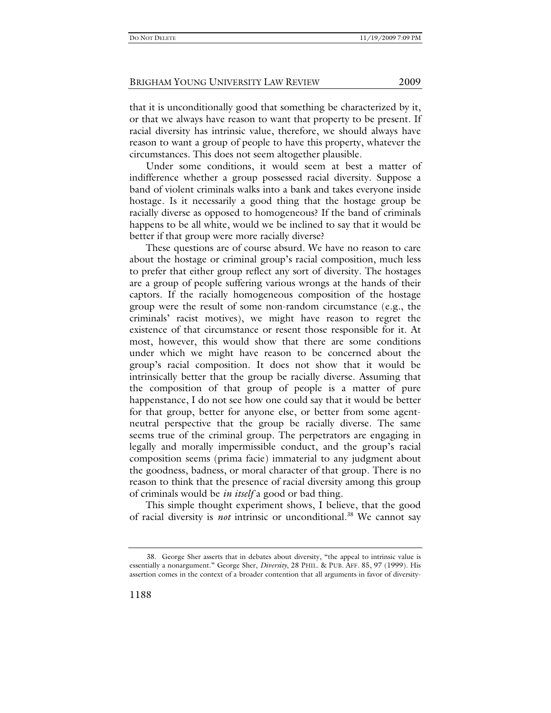that it is unconditionally good that something be characterized by it, or that we always have reason to want that property to be present. If racial diversity has intrinsic value, therefore, we should always have reason to want a group of people to have this property, whatever the circumstances. This does not seem altogether plausible.

Under some conditions, it would seem at best a matter of indifference whether a group possessed racial diversity. Suppose a band of violent criminals walks into a bank and takes everyone inside hostage. Is it necessarily a good thing that the hostage group be racially diverse as opposed to homogeneous? If the band of criminals happens to be all white, would we be inclined to say that it would be better if that group were more racially diverse?

These questions are of course absurd. We have no reason to care about the hostage or criminal group's racial composition, much less to prefer that either group reflect any sort of diversity. The hostages are a group of people suffering various wrongs at the hands of their captors. If the racially homogeneous composition of the hostage group were the result of some non-random circumstance (e.g., the criminals' racist motives), we might have reason to regret the existence of that circumstance or resent those responsible for it. At most, however, this would show that there are some conditions under which we might have reason to be concerned about the group's racial composition. It does not show that it would be intrinsically better that the group be racially diverse. Assuming that the composition of that group of people is a matter of pure happenstance, I do not see how one could say that it would be better for that group, better for anyone else, or better from some agentneutral perspective that the group be racially diverse. The same seems true of the criminal group. The perpetrators are engaging in legally and morally impermissible conduct, and the group's racial composition seems (prima facie) immaterial to any judgment about the goodness, badness, or moral character of that group. There is no reason to think that the presence of racial diversity among this group of criminals would be *in itself* a good or bad thing.

This simple thought experiment shows, I believe, that the good of racial diversity is *not* intrinsic or unconditional.<sup>38</sup> We cannot say

 <sup>38.</sup> George Sher asserts that in debates about diversity, "the appeal to intrinsic value is essentially a nonargument." George Sher, *Diversity*, 28 PHIL. & PUB. AFF. 85, 97 (1999). His assertion comes in the context of a broader contention that all arguments in favor of diversity-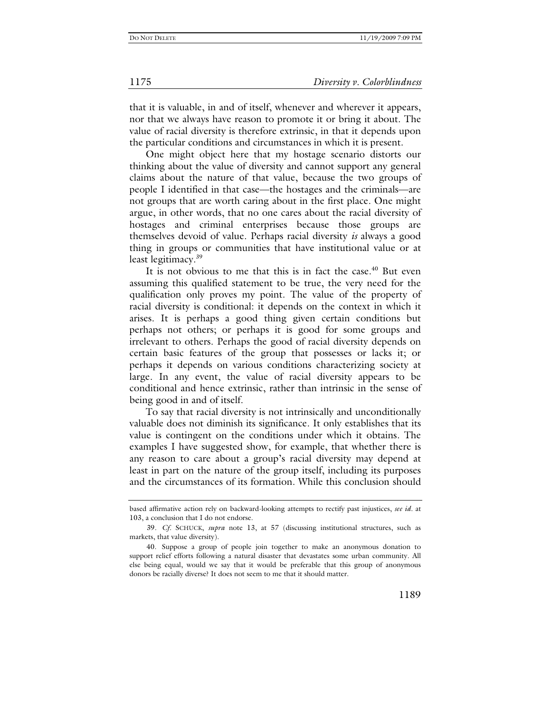that it is valuable, in and of itself, whenever and wherever it appears, nor that we always have reason to promote it or bring it about. The value of racial diversity is therefore extrinsic, in that it depends upon the particular conditions and circumstances in which it is present.

One might object here that my hostage scenario distorts our thinking about the value of diversity and cannot support any general claims about the nature of that value, because the two groups of people I identified in that case—the hostages and the criminals—are not groups that are worth caring about in the first place. One might argue, in other words, that no one cares about the racial diversity of hostages and criminal enterprises because those groups are themselves devoid of value. Perhaps racial diversity *is* always a good thing in groups or communities that have institutional value or at least legitimacy.<sup>39</sup>

It is not obvious to me that this is in fact the case. $40$  But even assuming this qualified statement to be true, the very need for the qualification only proves my point. The value of the property of racial diversity is conditional: it depends on the context in which it arises. It is perhaps a good thing given certain conditions but perhaps not others; or perhaps it is good for some groups and irrelevant to others. Perhaps the good of racial diversity depends on certain basic features of the group that possesses or lacks it; or perhaps it depends on various conditions characterizing society at large. In any event, the value of racial diversity appears to be conditional and hence extrinsic, rather than intrinsic in the sense of being good in and of itself.

To say that racial diversity is not intrinsically and unconditionally valuable does not diminish its significance. It only establishes that its value is contingent on the conditions under which it obtains. The examples I have suggested show, for example, that whether there is any reason to care about a group's racial diversity may depend at least in part on the nature of the group itself, including its purposes and the circumstances of its formation. While this conclusion should

based affirmative action rely on backward-looking attempts to rectify past injustices, *see id.* at 103, a conclusion that I do not endorse.

<sup>39</sup>*. Cf.* SCHUCK, *supra* note 13, at 57 (discussing institutional structures, such as markets, that value diversity).

 <sup>40.</sup> Suppose a group of people join together to make an anonymous donation to support relief efforts following a natural disaster that devastates some urban community. All else being equal, would we say that it would be preferable that this group of anonymous donors be racially diverse? It does not seem to me that it should matter.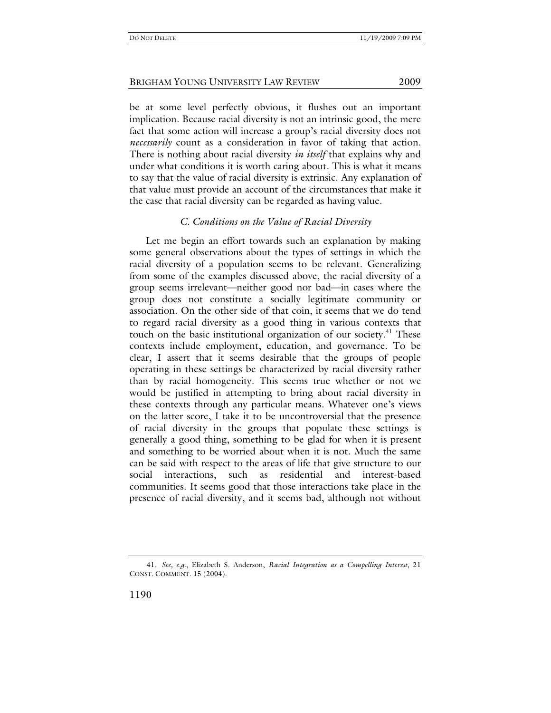be at some level perfectly obvious, it flushes out an important implication. Because racial diversity is not an intrinsic good, the mere fact that some action will increase a group's racial diversity does not *necessarily* count as a consideration in favor of taking that action. There is nothing about racial diversity *in itself* that explains why and under what conditions it is worth caring about. This is what it means to say that the value of racial diversity is extrinsic. Any explanation of that value must provide an account of the circumstances that make it the case that racial diversity can be regarded as having value.

# *C. Conditions on the Value of Racial Diversity*

Let me begin an effort towards such an explanation by making some general observations about the types of settings in which the racial diversity of a population seems to be relevant. Generalizing from some of the examples discussed above, the racial diversity of a group seems irrelevant—neither good nor bad—in cases where the group does not constitute a socially legitimate community or association. On the other side of that coin, it seems that we do tend to regard racial diversity as a good thing in various contexts that touch on the basic institutional organization of our society.<sup>41</sup> These contexts include employment, education, and governance. To be clear, I assert that it seems desirable that the groups of people operating in these settings be characterized by racial diversity rather than by racial homogeneity. This seems true whether or not we would be justified in attempting to bring about racial diversity in these contexts through any particular means. Whatever one's views on the latter score, I take it to be uncontroversial that the presence of racial diversity in the groups that populate these settings is generally a good thing, something to be glad for when it is present and something to be worried about when it is not. Much the same can be said with respect to the areas of life that give structure to our social interactions, such as residential and interest-based communities. It seems good that those interactions take place in the presence of racial diversity, and it seems bad, although not without

<sup>41</sup>*. See, e.g.*, Elizabeth S. Anderson, *Racial Integration as a Compelling Interest*, 21 CONST. COMMENT. 15 (2004).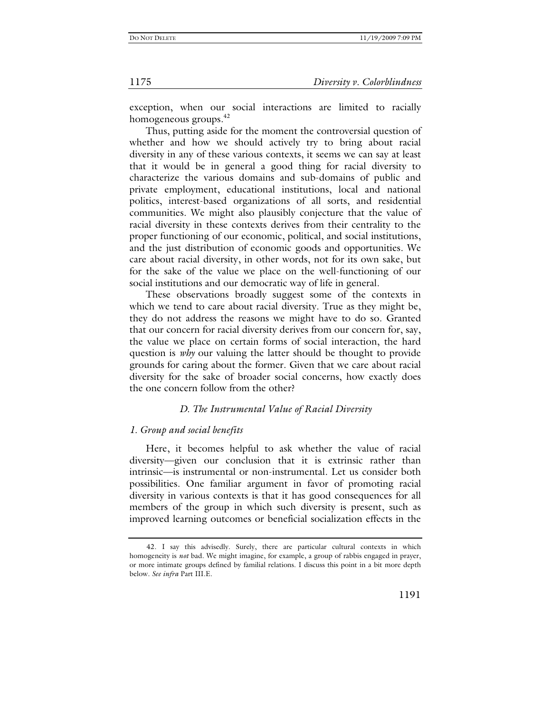exception, when our social interactions are limited to racially homogeneous groups.<sup>42</sup>

Thus, putting aside for the moment the controversial question of whether and how we should actively try to bring about racial diversity in any of these various contexts, it seems we can say at least that it would be in general a good thing for racial diversity to characterize the various domains and sub-domains of public and private employment, educational institutions, local and national politics, interest-based organizations of all sorts, and residential communities. We might also plausibly conjecture that the value of racial diversity in these contexts derives from their centrality to the proper functioning of our economic, political, and social institutions, and the just distribution of economic goods and opportunities. We care about racial diversity, in other words, not for its own sake, but for the sake of the value we place on the well-functioning of our social institutions and our democratic way of life in general.

These observations broadly suggest some of the contexts in which we tend to care about racial diversity. True as they might be, they do not address the reasons we might have to do so. Granted that our concern for racial diversity derives from our concern for, say, the value we place on certain forms of social interaction, the hard question is *why* our valuing the latter should be thought to provide grounds for caring about the former. Given that we care about racial diversity for the sake of broader social concerns, how exactly does the one concern follow from the other?

# *D. The Instrumental Value of Racial Diversity*

# *1. Group and social benefits*

Here, it becomes helpful to ask whether the value of racial diversity—given our conclusion that it is extrinsic rather than intrinsic—is instrumental or non-instrumental. Let us consider both possibilities. One familiar argument in favor of promoting racial diversity in various contexts is that it has good consequences for all members of the group in which such diversity is present, such as improved learning outcomes or beneficial socialization effects in the

 <sup>42.</sup> I say this advisedly. Surely, there are particular cultural contexts in which homogeneity is *not* bad. We might imagine, for example, a group of rabbis engaged in prayer, or more intimate groups defined by familial relations. I discuss this point in a bit more depth below. *See infra* Part III.E.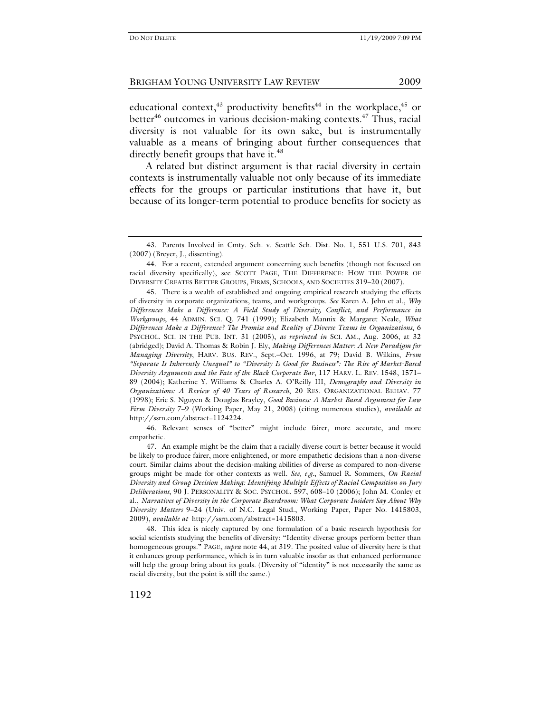educational context,<sup>43</sup> productivity benefits<sup>44</sup> in the workplace,<sup>45</sup> or better $46$  outcomes in various decision-making contexts. $47$  Thus, racial diversity is not valuable for its own sake, but is instrumentally valuable as a means of bringing about further consequences that directly benefit groups that have it.<sup>48</sup>

A related but distinct argument is that racial diversity in certain contexts is instrumentally valuable not only because of its immediate effects for the groups or particular institutions that have it, but because of its longer-term potential to produce benefits for society as

 45. There is a wealth of established and ongoing empirical research studying the effects of diversity in corporate organizations, teams, and workgroups. *See* Karen A. Jehn et al., *Why Differences Make a Difference: A Field Study of Diversity, Conflict, and Performance in Workgroups*, 44 ADMIN. SCI. Q. 741 (1999); Elizabeth Mannix & Margaret Neale, *What Differences Make a Difference? The Promise and Reality of Diverse Teams in Organizations*, 6 PSYCHOL. SCI. IN THE PUB. INT. 31 (2005), *as reprinted in* SCI. AM., Aug. 2006, at 32 (abridged); David A. Thomas & Robin J. Ely, *Making Differences Matter: A New Paradigm for Managing Diversity*, HARV. BUS. REV., Sept.–Oct. 1996, at 79; David B. Wilkins, *From "Separate Is Inherently Unequal" to "Diversity Is Good for Business": The Rise of Market-Based Diversity Arguments and the Fate of the Black Corporate Bar*, 117 HARV. L. REV. 1548, 1571– 89 (2004); Katherine Y. Williams & Charles A. O'Reilly III, *Demography and Diversity in Organizations: A Review of 40 Years of Research*, 20 RES. ORGANIZATIONAL BEHAV. 77 (1998); Eric S. Nguyen & Douglas Brayley, *Good Business: A Market-Based Argument for Law Firm Diversity* 7–9 (Working Paper, May 21, 2008) (citing numerous studies), *available at* http://ssrn.com/abstract=1124224.

 46. Relevant senses of "better" might include fairer, more accurate, and more empathetic.

 47. An example might be the claim that a racially diverse court is better because it would be likely to produce fairer, more enlightened, or more empathetic decisions than a non-diverse court. Similar claims about the decision-making abilities of diverse as compared to non-diverse groups might be made for other contexts as well. *See, e.g.*, Samuel R. Sommers, *On Racial Diversity and Group Decision Making: Identifying Multiple Effects of Racial Composition on Jury Deliberations*, 90 J. PERSONALITY & SOC. PSYCHOL. 597, 608–10 (2006); John M. Conley et al., *Narratives of Diversity in the Corporate Boardroom: What Corporate Insiders Say About Why Diversity Matters* 9–24 (Univ. of N.C. Legal Stud., Working Paper, Paper No. 1415803, 2009), *available at* http://ssrn.com/abstract=1415803.

 48. This idea is nicely captured by one formulation of a basic research hypothesis for social scientists studying the benefits of diversity: "Identity diverse groups perform better than homogeneous groups." PAGE, *supra* note 44, at 319. The posited value of diversity here is that it enhances group performance, which is in turn valuable insofar as that enhanced performance will help the group bring about its goals. (Diversity of "identity" is not necessarily the same as racial diversity, but the point is still the same.)

 <sup>43.</sup> Parents Involved in Cmty. Sch. v. Seattle Sch. Dist. No. 1, 551 U.S. 701, 843 (2007) (Breyer, J., dissenting).

 <sup>44.</sup> For a recent, extended argument concerning such benefits (though not focused on racial diversity specifically), see SCOTT PAGE, THE DIFFERENCE: HOW THE POWER OF DIVERSITY CREATES BETTER GROUPS, FIRMS, SCHOOLS, AND SOCIETIES 319–20 (2007).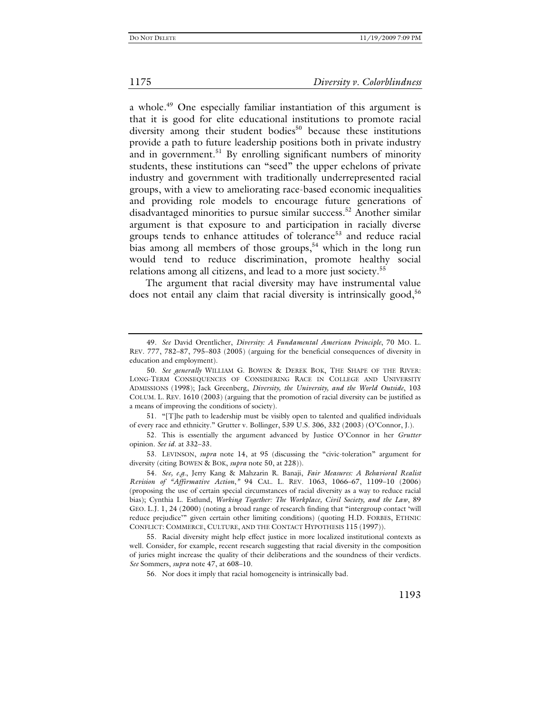a whole.<sup>49</sup> One especially familiar instantiation of this argument is that it is good for elite educational institutions to promote racial diversity among their student bodies<sup>50</sup> because these institutions provide a path to future leadership positions both in private industry and in government.<sup>51</sup> By enrolling significant numbers of minority students, these institutions can "seed" the upper echelons of private industry and government with traditionally underrepresented racial groups, with a view to ameliorating race-based economic inequalities and providing role models to encourage future generations of disadvantaged minorities to pursue similar success.<sup>52</sup> Another similar argument is that exposure to and participation in racially diverse groups tends to enhance attitudes of tolerance<sup>53</sup> and reduce racial bias among all members of those groups,<sup>54</sup> which in the long run would tend to reduce discrimination, promote healthy social relations among all citizens, and lead to a more just society.<sup>55</sup>

The argument that racial diversity may have instrumental value does not entail any claim that racial diversity is intrinsically good,  $56$ 

 51. "[T]he path to leadership must be visibly open to talented and qualified individuals of every race and ethnicity." Grutter v. Bollinger, 539 U.S. 306, 332 (2003) (O'Connor, J.).

 52. This is essentially the argument advanced by Justice O'Connor in her *Grutter* opinion. *See id*. at 332–33.

 53. LEVINSON, *supra* note 14, at 95 (discussing the "civic-toleration" argument for diversity (citing BOWEN & BOK, *supra* note 50, at 228)).

 55. Racial diversity might help effect justice in more localized institutional contexts as well. Consider, for example, recent research suggesting that racial diversity in the composition of juries might increase the quality of their deliberations and the soundness of their verdicts. *See* Sommers, *supra* note 47, at 608–10.

56. Nor does it imply that racial homogeneity is intrinsically bad.

<sup>49</sup>*. See* David Orentlicher, *Diversity: A Fundamental American Principle*, 70 MO. L. REV. 777, 782–87, 795–803 (2005) (arguing for the beneficial consequences of diversity in education and employment).

<sup>50</sup>*. See generally* WILLIAM G. BOWEN & DEREK BOK, THE SHAPE OF THE RIVER: LONG-TERM CONSEQUENCES OF CONSIDERING RACE IN COLLEGE AND UNIVERSITY ADMISSIONS (1998); Jack Greenberg, *Diversity, the University, and the World Outside*, 103 COLUM. L. REV. 1610 (2003) (arguing that the promotion of racial diversity can be justified as a means of improving the conditions of society).

<sup>54</sup>*. See, e.g.*, Jerry Kang & Mahzarin R. Banaji, *Fair Measures: A Behavioral Realist Revision of "Affirmative Action*,*"* 94 CAL. L. REV. 1063, 1066–67, 1109–10 (2006) (proposing the use of certain special circumstances of racial diversity as a way to reduce racial bias); Cynthia L. Estlund, *Working Together: The Workplace, Civil Society, and the Law*, 89 GEO. L.J. 1, 24 (2000) (noting a broad range of research finding that "intergroup contact 'will reduce prejudice'" given certain other limiting conditions) (quoting H.D. FORBES, ETHNIC CONFLICT: COMMERCE, CULTURE, AND THE CONTACT HYPOTHESIS 115 (1997)).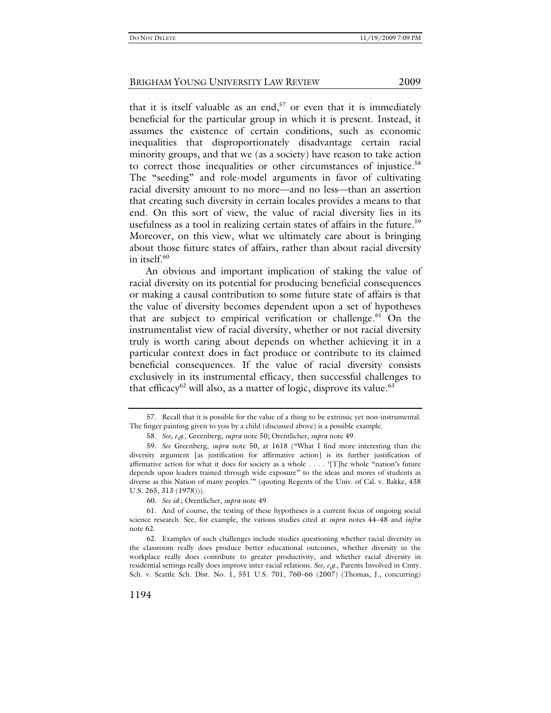that it is itself valuable as an end,<sup>57</sup> or even that it is immediately beneficial for the particular group in which it is present. Instead, it assumes the existence of certain conditions, such as economic inequalities that disproportionately disadvantage certain racial minority groups, and that we (as a society) have reason to take action to correct those inequalities or other circumstances of injustice.<sup>58</sup> The "seeding" and role-model arguments in favor of cultivating racial diversity amount to no more—and no less—than an assertion that creating such diversity in certain locales provides a means to that end. On this sort of view, the value of racial diversity lies in its usefulness as a tool in realizing certain states of affairs in the future.<sup>59</sup> Moreover, on this view, what we ultimately care about is bringing about those future states of affairs, rather than about racial diversity in itself. $60$ 

An obvious and important implication of staking the value of racial diversity on its potential for producing beneficial consequences or making a causal contribution to some future state of affairs is that the value of diversity becomes dependent upon a set of hypotheses that are subject to empirical verification or challenge.<sup>61</sup> On the instrumentalist view of racial diversity, whether or not racial diversity truly is worth caring about depends on whether achieving it in a particular context does in fact produce or contribute to its claimed beneficial consequences. If the value of racial diversity consists exclusively in its instrumental efficacy, then successful challenges to that efficacy<sup>62</sup> will also, as a matter of logic, disprove its value.<sup>63</sup>

 62. Examples of such challenges include studies questioning whether racial diversity in the classroom really does produce better educational outcomes, whether diversity in the workplace really does contribute to greater productivity, and whether racial diversity in residential settings really does improve inter-racial relations. *See, e.g.*, Parents Involved in Cmty. Sch. v. Seattle Sch. Dist. No. 1, 551 U.S. 701, 760–66 (2007) (Thomas, J., concurring)

 <sup>57.</sup> Recall that it is possible for the value of a thing to be extrinsic yet non-instrumental. The finger painting given to you by a child (discussed above) is a possible example.

<sup>58</sup>*. See, e.g.*, Greenberg, *supra* note 50; Orentlicher, *supra* note 49.

<sup>59</sup>*. See* Greenberg, *supra* note 50, at 1618 ("What I find more interesting than the diversity argument [as justification for affirmative action] is its further justification of affirmative action for what it does for society as a whole . . . . '[T]he whole "nation's future depends upon leaders trained through wide exposure" to the ideas and mores of students as diverse as this Nation of many peoples.'" (quoting Regents of the Univ. of Cal. v. Bakke, 438 U.S. 265, 313 (1978))).

<sup>60</sup>*. See id.*; Orentlicher, *supra* note 49.

 <sup>61.</sup> And of course, the testing of these hypotheses is a current focus of ongoing social science research. See, for example, the various studies cited at *supra* notes 44–48 and *infra* note 62.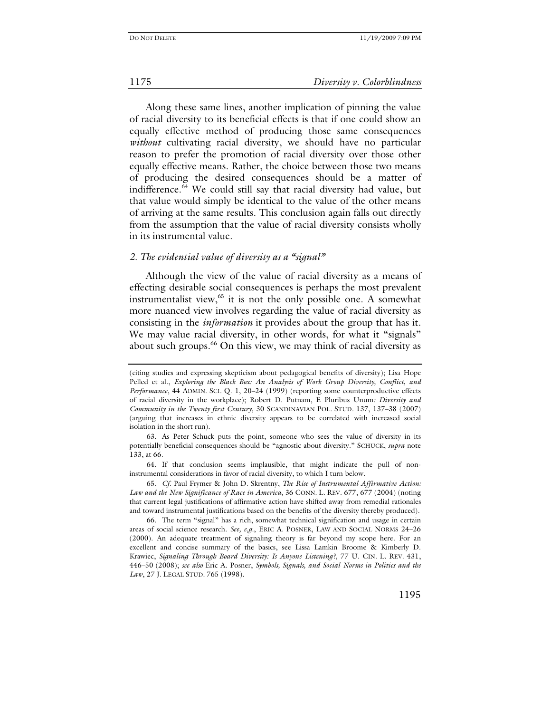Along these same lines, another implication of pinning the value of racial diversity to its beneficial effects is that if one could show an equally effective method of producing those same consequences *without* cultivating racial diversity, we should have no particular reason to prefer the promotion of racial diversity over those other equally effective means. Rather, the choice between those two means of producing the desired consequences should be a matter of indifference.64 We could still say that racial diversity had value, but that value would simply be identical to the value of the other means of arriving at the same results. This conclusion again falls out directly from the assumption that the value of racial diversity consists wholly in its instrumental value.

# *2. The evidential value of diversity as a "signal"*

Although the view of the value of racial diversity as a means of effecting desirable social consequences is perhaps the most prevalent instrumentalist view, $65$  it is not the only possible one. A somewhat more nuanced view involves regarding the value of racial diversity as consisting in the *information* it provides about the group that has it. We may value racial diversity, in other words, for what it "signals" about such groups.<sup>66</sup> On this view, we may think of racial diversity as

<sup>(</sup>citing studies and expressing skepticism about pedagogical benefits of diversity); Lisa Hope Pelled et al., *Exploring the Black Box: An Analysis of Work Group Diversity, Conflict, and Performance*, 44 ADMIN. SCI. Q. 1, 20–24 (1999) (reporting some counterproductive effects of racial diversity in the workplace); Robert D. Putnam, E Pluribus Unum*: Diversity and Community in the Twenty-first Century*, 30 SCANDINAVIAN POL. STUD. 137, 137–38 (2007) (arguing that increases in ethnic diversity appears to be correlated with increased social isolation in the short run).

 <sup>63.</sup> As Peter Schuck puts the point, someone who sees the value of diversity in its potentially beneficial consequences should be "agnostic about diversity." SCHUCK, *supra* note 133, at 66.

 <sup>64.</sup> If that conclusion seems implausible, that might indicate the pull of noninstrumental considerations in favor of racial diversity, to which I turn below.

<sup>65</sup>*. Cf.* Paul Frymer & John D. Skrentny, *The Rise of Instrumental Affirmative Action: Law and the New Significance of Race in America*, 36 CONN. L. REV. 677, 677 (2004) (noting that current legal justifications of affirmative action have shifted away from remedial rationales and toward instrumental justifications based on the benefits of the diversity thereby produced).

 <sup>66.</sup> The term "signal" has a rich, somewhat technical signification and usage in certain areas of social science research. *See, e.g.*, ERIC A. POSNER, LAW AND SOCIAL NORMS 24-26 (2000). An adequate treatment of signaling theory is far beyond my scope here. For an excellent and concise summary of the basics, see Lissa Lamkin Broome & Kimberly D. Krawiec, *Signaling Through Board Diversity: Is Anyone Listening?*, 77 U. CIN. L. REV. 431, 446–50 (2008); *see also* Eric A. Posner, *Symbols, Signals, and Social Norms in Politics and the Law*, 27 J. LEGAL STUD. 765 (1998).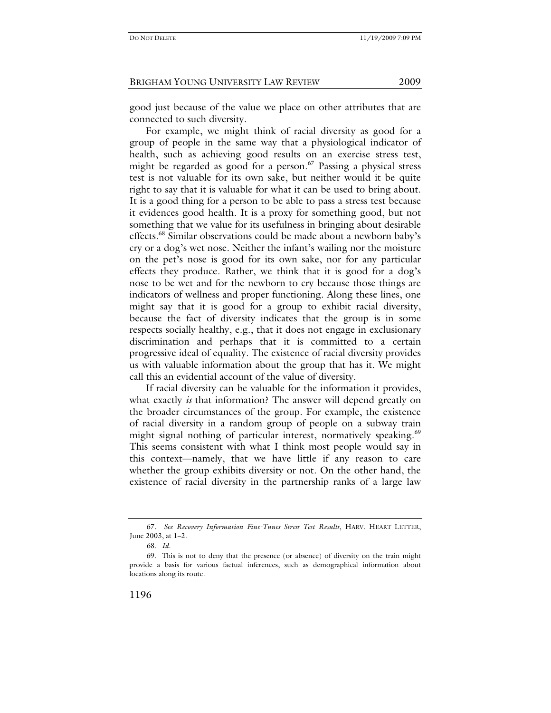good just because of the value we place on other attributes that are connected to such diversity.

For example, we might think of racial diversity as good for a group of people in the same way that a physiological indicator of health, such as achieving good results on an exercise stress test, might be regarded as good for a person.<sup>67</sup> Passing a physical stress test is not valuable for its own sake, but neither would it be quite right to say that it is valuable for what it can be used to bring about. It is a good thing for a person to be able to pass a stress test because it evidences good health. It is a proxy for something good, but not something that we value for its usefulness in bringing about desirable effects.68 Similar observations could be made about a newborn baby's cry or a dog's wet nose. Neither the infant's wailing nor the moisture on the pet's nose is good for its own sake, nor for any particular effects they produce. Rather, we think that it is good for a dog's nose to be wet and for the newborn to cry because those things are indicators of wellness and proper functioning. Along these lines, one might say that it is good for a group to exhibit racial diversity, because the fact of diversity indicates that the group is in some respects socially healthy, e.g., that it does not engage in exclusionary discrimination and perhaps that it is committed to a certain progressive ideal of equality. The existence of racial diversity provides us with valuable information about the group that has it. We might call this an evidential account of the value of diversity.

If racial diversity can be valuable for the information it provides, what exactly *is* that information? The answer will depend greatly on the broader circumstances of the group. For example, the existence of racial diversity in a random group of people on a subway train might signal nothing of particular interest, normatively speaking.<sup>69</sup> This seems consistent with what I think most people would say in this context—namely, that we have little if any reason to care whether the group exhibits diversity or not. On the other hand, the existence of racial diversity in the partnership ranks of a large law

 <sup>67.</sup> *See Recovery Information Fine-Tunes Stress Test Results*, HARV. HEART LETTER, June 2003, at 1–2.

<sup>68</sup>*. Id.*

 <sup>69.</sup> This is not to deny that the presence (or absence) of diversity on the train might provide a basis for various factual inferences, such as demographical information about locations along its route.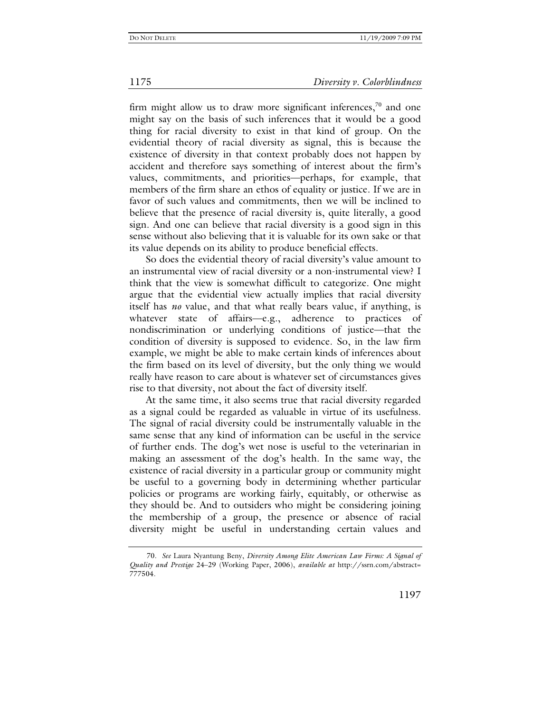firm might allow us to draw more significant inferences, $\frac{70}{10}$  and one might say on the basis of such inferences that it would be a good thing for racial diversity to exist in that kind of group. On the evidential theory of racial diversity as signal, this is because the existence of diversity in that context probably does not happen by accident and therefore says something of interest about the firm's values, commitments, and priorities—perhaps, for example, that members of the firm share an ethos of equality or justice. If we are in favor of such values and commitments, then we will be inclined to believe that the presence of racial diversity is, quite literally, a good sign. And one can believe that racial diversity is a good sign in this sense without also believing that it is valuable for its own sake or that its value depends on its ability to produce beneficial effects.

So does the evidential theory of racial diversity's value amount to an instrumental view of racial diversity or a non-instrumental view? I think that the view is somewhat difficult to categorize. One might argue that the evidential view actually implies that racial diversity itself has *no* value, and that what really bears value, if anything, is whatever state of affairs—e.g., adherence to practices of nondiscrimination or underlying conditions of justice—that the condition of diversity is supposed to evidence. So, in the law firm example, we might be able to make certain kinds of inferences about the firm based on its level of diversity, but the only thing we would really have reason to care about is whatever set of circumstances gives rise to that diversity, not about the fact of diversity itself.

At the same time, it also seems true that racial diversity regarded as a signal could be regarded as valuable in virtue of its usefulness. The signal of racial diversity could be instrumentally valuable in the same sense that any kind of information can be useful in the service of further ends. The dog's wet nose is useful to the veterinarian in making an assessment of the dog's health. In the same way, the existence of racial diversity in a particular group or community might be useful to a governing body in determining whether particular policies or programs are working fairly, equitably, or otherwise as they should be. And to outsiders who might be considering joining the membership of a group, the presence or absence of racial diversity might be useful in understanding certain values and

<sup>70</sup>*. See* Laura Nyantung Beny, *Diversity Among Elite American Law Firms: A Signal of Quality and Prestige* 24–29 (Working Paper, 2006), *available at* http://ssrn.com/abstract= 777504.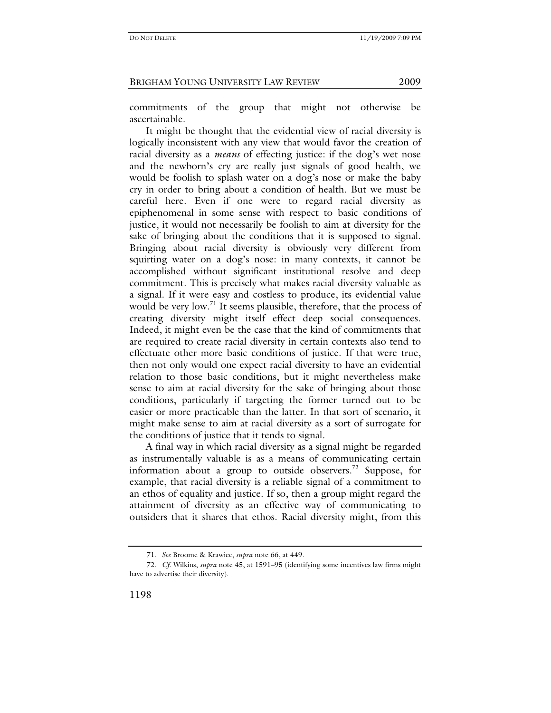commitments of the group that might not otherwise be ascertainable.

It might be thought that the evidential view of racial diversity is logically inconsistent with any view that would favor the creation of racial diversity as a *means* of effecting justice: if the dog's wet nose and the newborn's cry are really just signals of good health, we would be foolish to splash water on a dog's nose or make the baby cry in order to bring about a condition of health. But we must be careful here. Even if one were to regard racial diversity as epiphenomenal in some sense with respect to basic conditions of justice, it would not necessarily be foolish to aim at diversity for the sake of bringing about the conditions that it is supposed to signal. Bringing about racial diversity is obviously very different from squirting water on a dog's nose: in many contexts, it cannot be accomplished without significant institutional resolve and deep commitment. This is precisely what makes racial diversity valuable as a signal. If it were easy and costless to produce, its evidential value would be very low.<sup>71</sup> It seems plausible, therefore, that the process of creating diversity might itself effect deep social consequences. Indeed, it might even be the case that the kind of commitments that are required to create racial diversity in certain contexts also tend to effectuate other more basic conditions of justice. If that were true, then not only would one expect racial diversity to have an evidential relation to those basic conditions, but it might nevertheless make sense to aim at racial diversity for the sake of bringing about those conditions, particularly if targeting the former turned out to be easier or more practicable than the latter. In that sort of scenario, it might make sense to aim at racial diversity as a sort of surrogate for the conditions of justice that it tends to signal.

A final way in which racial diversity as a signal might be regarded as instrumentally valuable is as a means of communicating certain information about a group to outside observers.<sup>72</sup> Suppose, for example, that racial diversity is a reliable signal of a commitment to an ethos of equality and justice. If so, then a group might regard the attainment of diversity as an effective way of communicating to outsiders that it shares that ethos. Racial diversity might, from this

<sup>71</sup>*. See* Broome & Krawiec, *supra* note 66, at 449.

<sup>72</sup>*. Cf.* Wilkins, *supra* note 45, at 1591–95 (identifying some incentives law firms might have to advertise their diversity).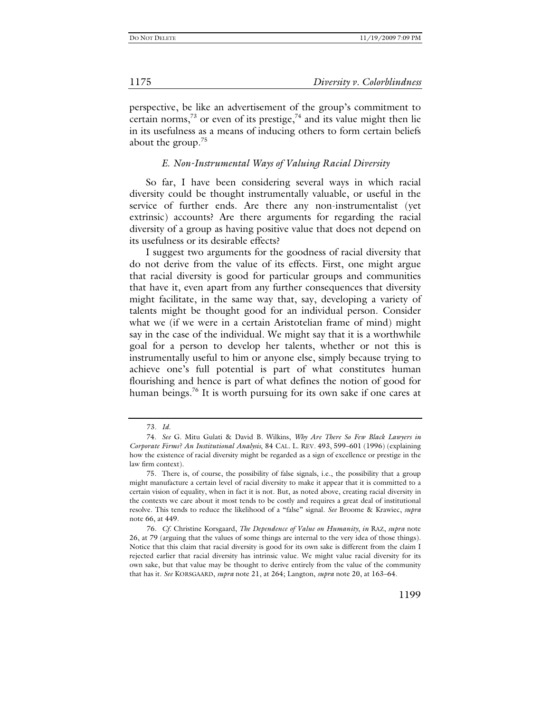perspective, be like an advertisement of the group's commitment to certain norms,<sup>73</sup> or even of its prestige, $74$  and its value might then lie in its usefulness as a means of inducing others to form certain beliefs about the group. $75$ 

# *E. Non-Instrumental Ways of Valuing Racial Diversity*

So far, I have been considering several ways in which racial diversity could be thought instrumentally valuable, or useful in the service of further ends. Are there any non-instrumentalist (yet extrinsic) accounts? Are there arguments for regarding the racial diversity of a group as having positive value that does not depend on its usefulness or its desirable effects?

I suggest two arguments for the goodness of racial diversity that do not derive from the value of its effects. First, one might argue that racial diversity is good for particular groups and communities that have it, even apart from any further consequences that diversity might facilitate, in the same way that, say, developing a variety of talents might be thought good for an individual person. Consider what we (if we were in a certain Aristotelian frame of mind) might say in the case of the individual. We might say that it is a worthwhile goal for a person to develop her talents, whether or not this is instrumentally useful to him or anyone else, simply because trying to achieve one's full potential is part of what constitutes human flourishing and hence is part of what defines the notion of good for human beings.<sup>76</sup> It is worth pursuing for its own sake if one cares at

<sup>73</sup>*. Id.* 

 <sup>74.</sup> *See* G. Mitu Gulati & David B. Wilkins, *Why Are There So Few Black Lawyers in Corporate Firms? An Institutional Analysis*, 84 CAL. L. REV. 493, 599–601 (1996) (explaining how the existence of racial diversity might be regarded as a sign of excellence or prestige in the law firm context).

 <sup>75.</sup> There is, of course, the possibility of false signals, i.e., the possibility that a group might manufacture a certain level of racial diversity to make it appear that it is committed to a certain vision of equality, when in fact it is not. But, as noted above, creating racial diversity in the contexts we care about it most tends to be costly and requires a great deal of institutional resolve. This tends to reduce the likelihood of a "false" signal. *See* Broome & Krawiec, *supra* note 66, at 449.

<sup>76</sup>*. Cf.* Christine Korsgaard, *The Dependence of Value on Humanity*, *in* RAZ, *supra* note 26, at 79 (arguing that the values of some things are internal to the very idea of those things). Notice that this claim that racial diversity is good for its own sake is different from the claim I rejected earlier that racial diversity has intrinsic value. We might value racial diversity for its own sake, but that value may be thought to derive entirely from the value of the community that has it. *See* KORSGAARD, *supra* note 21, at 264; Langton, *supra* note 20, at 163–64.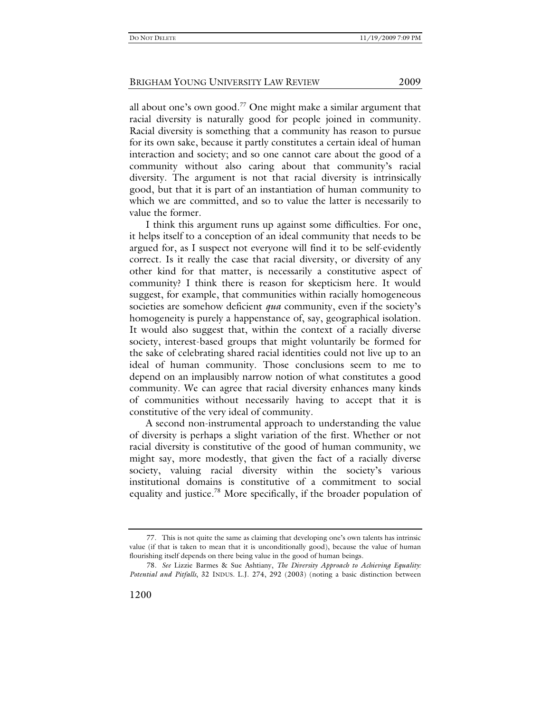all about one's own good.<sup>77</sup> One might make a similar argument that racial diversity is naturally good for people joined in community. Racial diversity is something that a community has reason to pursue for its own sake, because it partly constitutes a certain ideal of human interaction and society; and so one cannot care about the good of a community without also caring about that community's racial diversity. The argument is not that racial diversity is intrinsically good, but that it is part of an instantiation of human community to which we are committed, and so to value the latter is necessarily to value the former.

I think this argument runs up against some difficulties. For one, it helps itself to a conception of an ideal community that needs to be argued for, as I suspect not everyone will find it to be self-evidently correct. Is it really the case that racial diversity, or diversity of any other kind for that matter, is necessarily a constitutive aspect of community? I think there is reason for skepticism here. It would suggest, for example, that communities within racially homogeneous societies are somehow deficient *qua* community, even if the society's homogeneity is purely a happenstance of, say, geographical isolation. It would also suggest that, within the context of a racially diverse society, interest-based groups that might voluntarily be formed for the sake of celebrating shared racial identities could not live up to an ideal of human community. Those conclusions seem to me to depend on an implausibly narrow notion of what constitutes a good community. We can agree that racial diversity enhances many kinds of communities without necessarily having to accept that it is constitutive of the very ideal of community.

A second non-instrumental approach to understanding the value of diversity is perhaps a slight variation of the first. Whether or not racial diversity is constitutive of the good of human community, we might say, more modestly, that given the fact of a racially diverse society, valuing racial diversity within the society's various institutional domains is constitutive of a commitment to social equality and justice.78 More specifically, if the broader population of

 <sup>77.</sup> This is not quite the same as claiming that developing one's own talents has intrinsic value (if that is taken to mean that it is unconditionally good), because the value of human flourishing itself depends on there being value in the good of human beings.

<sup>78</sup>*. See* Lizzie Barmes & Sue Ashtiany, *The Diversity Approach to Achieving Equality: Potential and Pitfalls*, 32 INDUS. L.J. 274, 292 (2003) (noting a basic distinction between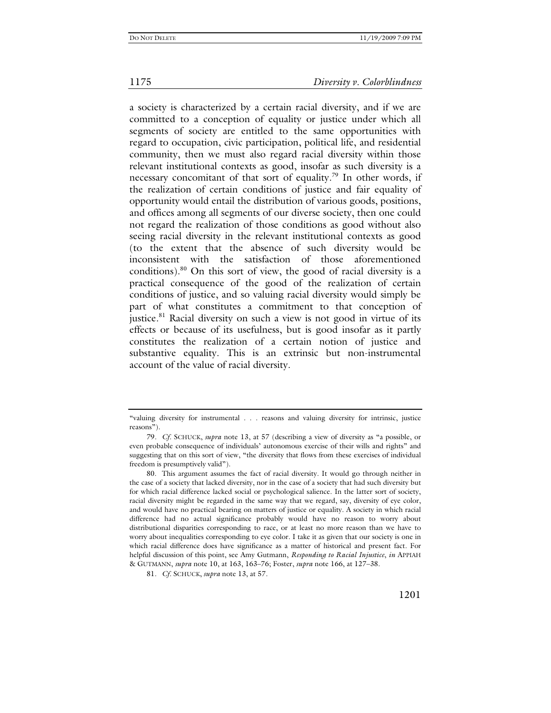a society is characterized by a certain racial diversity, and if we are committed to a conception of equality or justice under which all segments of society are entitled to the same opportunities with regard to occupation, civic participation, political life, and residential community, then we must also regard racial diversity within those relevant institutional contexts as good, insofar as such diversity is a necessary concomitant of that sort of equality.<sup>79</sup> In other words, if the realization of certain conditions of justice and fair equality of opportunity would entail the distribution of various goods, positions, and offices among all segments of our diverse society, then one could not regard the realization of those conditions as good without also seeing racial diversity in the relevant institutional contexts as good (to the extent that the absence of such diversity would be inconsistent with the satisfaction of those aforementioned conditions).80 On this sort of view, the good of racial diversity is a practical consequence of the good of the realization of certain conditions of justice, and so valuing racial diversity would simply be part of what constitutes a commitment to that conception of justice.<sup>81</sup> Racial diversity on such a view is not good in virtue of its effects or because of its usefulness, but is good insofar as it partly constitutes the realization of a certain notion of justice and substantive equality. This is an extrinsic but non-instrumental account of the value of racial diversity.

<sup>&</sup>quot;valuing diversity for instrumental . . . reasons and valuing diversity for intrinsic, justice reasons").

<sup>79</sup>*. Cf.* SCHUCK, *supra* note 13, at 57 (describing a view of diversity as "a possible, or even probable consequence of individuals' autonomous exercise of their wills and rights" and suggesting that on this sort of view, "the diversity that flows from these exercises of individual freedom is presumptively valid").

 <sup>80.</sup> This argument assumes the fact of racial diversity. It would go through neither in the case of a society that lacked diversity, nor in the case of a society that had such diversity but for which racial difference lacked social or psychological salience. In the latter sort of society, racial diversity might be regarded in the same way that we regard, say, diversity of eye color, and would have no practical bearing on matters of justice or equality. A society in which racial difference had no actual significance probably would have no reason to worry about distributional disparities corresponding to race, or at least no more reason than we have to worry about inequalities corresponding to eye color. I take it as given that our society is one in which racial difference does have significance as a matter of historical and present fact. For helpful discussion of this point, see Amy Gutmann, *Responding to Racial Injustice*, *in* APPIAH & GUTMANN, *supra* note 10, at 163, 163–76; Foster, *supra* note 166, at 127–38.

<sup>81</sup>*. Cf.* SCHUCK, *supra* note 13, at 57.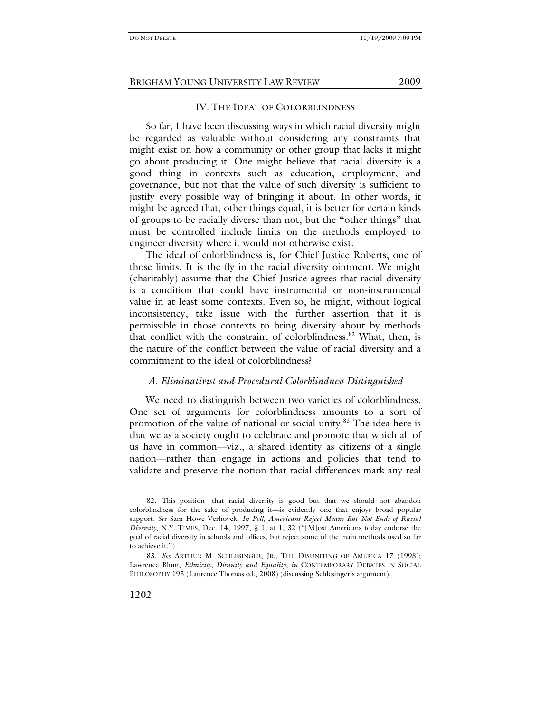# IV. THE IDEAL OF COLORBLINDNESS

So far, I have been discussing ways in which racial diversity might be regarded as valuable without considering any constraints that might exist on how a community or other group that lacks it might go about producing it. One might believe that racial diversity is a good thing in contexts such as education, employment, and governance, but not that the value of such diversity is sufficient to justify every possible way of bringing it about. In other words, it might be agreed that, other things equal, it is better for certain kinds of groups to be racially diverse than not, but the "other things" that must be controlled include limits on the methods employed to engineer diversity where it would not otherwise exist.

The ideal of colorblindness is, for Chief Justice Roberts, one of those limits. It is the fly in the racial diversity ointment. We might (charitably) assume that the Chief Justice agrees that racial diversity is a condition that could have instrumental or non-instrumental value in at least some contexts. Even so, he might, without logical inconsistency, take issue with the further assertion that it is permissible in those contexts to bring diversity about by methods that conflict with the constraint of colorblindness.<sup>82</sup> What, then, is the nature of the conflict between the value of racial diversity and a commitment to the ideal of colorblindness?

# *A. Eliminativist and Procedural Colorblindness Distinguished*

We need to distinguish between two varieties of colorblindness. One set of arguments for colorblindness amounts to a sort of promotion of the value of national or social unity.<sup>83</sup> The idea here is that we as a society ought to celebrate and promote that which all of us have in common—viz., a shared identity as citizens of a single nation—rather than engage in actions and policies that tend to validate and preserve the notion that racial differences mark any real

 <sup>82.</sup> This position—that racial diversity is good but that we should not abandon colorblindness for the sake of producing it—is evidently one that enjoys broad popular support. *See* Sam Howe Verhovek, *In Poll, Americans Reject Means But Not Ends of Racial Diversity*, N.Y. TIMES, Dec. 14, 1997, § 1, at 1, 32 ("[M]ost Americans today endorse the goal of racial diversity in schools and offices, but reject some of the main methods used so far to achieve it.").

<sup>83</sup>*. See* ARTHUR M. SCHLESINGER, JR., THE DISUNITING OF AMERICA 17 (1998); Lawrence Blum, *Ethnicity, Disunity and Equality*, *in* CONTEMPORARY DEBATES IN SOCIAL PHILOSOPHY 193 (Laurence Thomas ed., 2008) (discussing Schlesinger's argument).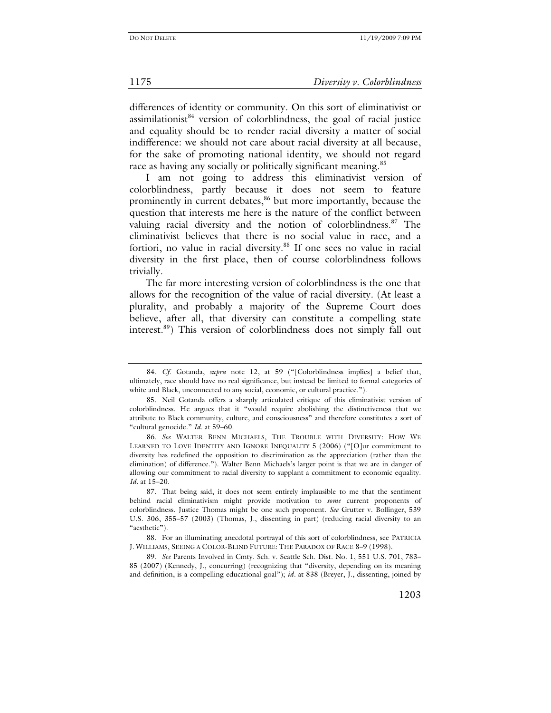differences of identity or community. On this sort of eliminativist or  $assimilationist^{84}$  version of colorblindness, the goal of racial justice and equality should be to render racial diversity a matter of social indifference: we should not care about racial diversity at all because, for the sake of promoting national identity, we should not regard race as having any socially or politically significant meaning.<sup>85</sup>

I am not going to address this eliminativist version of colorblindness, partly because it does not seem to feature prominently in current debates,<sup>86</sup> but more importantly, because the question that interests me here is the nature of the conflict between valuing racial diversity and the notion of colorblindness. $87$  The eliminativist believes that there is no social value in race, and a fortiori, no value in racial diversity.<sup>88</sup> If one sees no value in racial diversity in the first place, then of course colorblindness follows trivially.

The far more interesting version of colorblindness is the one that allows for the recognition of the value of racial diversity. (At least a plurality, and probably a majority of the Supreme Court does believe, after all, that diversity can constitute a compelling state interest.89) This version of colorblindness does not simply fall out

<sup>84</sup>*. Cf.* Gotanda, *supra* note 12, at 59 ("[Colorblindness implies] a belief that, ultimately, race should have no real significance, but instead be limited to formal categories of white and Black, unconnected to any social, economic, or cultural practice.").

 <sup>85.</sup> Neil Gotanda offers a sharply articulated critique of this eliminativist version of colorblindness. He argues that it "would require abolishing the distinctiveness that we attribute to Black community, culture, and consciousness" and therefore constitutes a sort of "cultural genocide." *Id.* at 59–60.

<sup>86</sup>*. See* WALTER BENN MICHAELS, THE TROUBLE WITH DIVERSITY: HOW WE LEARNED TO LOVE IDENTITY AND IGNORE INEQUALITY 5 (2006) ("[O]ur commitment to diversity has redefined the opposition to discrimination as the appreciation (rather than the elimination) of difference."). Walter Benn Michaels's larger point is that we are in danger of allowing our commitment to racial diversity to supplant a commitment to economic equality. *Id.* at 15–20.

 <sup>87.</sup> That being said, it does not seem entirely implausible to me that the sentiment behind racial eliminativism might provide motivation to *some* current proponents of colorblindness. Justice Thomas might be one such proponent. *See* Grutter v. Bollinger, 539 U.S. 306, 355–57 (2003) (Thomas, J., dissenting in part) (reducing racial diversity to an "aesthetic").

 <sup>88.</sup> For an illuminating anecdotal portrayal of this sort of colorblindness, see PATRICIA J. WILLIAMS, SEEING A COLOR-BLIND FUTURE: THE PARADOX OF RACE 8–9 (1998).

<sup>89</sup>*. See* Parents Involved in Cmty. Sch. v. Seattle Sch. Dist. No. 1, 551 U.S. 701, 783– 85 (2007) (Kennedy, J., concurring) (recognizing that "diversity, depending on its meaning and definition, is a compelling educational goal"); *id.* at 838 (Breyer, J., dissenting, joined by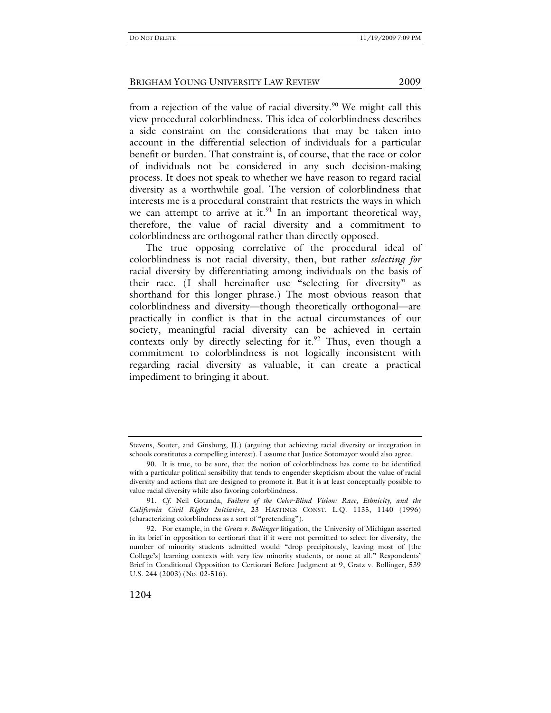from a rejection of the value of racial diversity.<sup>90</sup> We might call this view procedural colorblindness. This idea of colorblindness describes a side constraint on the considerations that may be taken into account in the differential selection of individuals for a particular benefit or burden. That constraint is, of course, that the race or color of individuals not be considered in any such decision-making process. It does not speak to whether we have reason to regard racial diversity as a worthwhile goal. The version of colorblindness that interests me is a procedural constraint that restricts the ways in which we can attempt to arrive at it. $91$  In an important theoretical way, therefore, the value of racial diversity and a commitment to colorblindness are orthogonal rather than directly opposed.

The true opposing correlative of the procedural ideal of colorblindness is not racial diversity, then, but rather *selecting for* racial diversity by differentiating among individuals on the basis of their race. (I shall hereinafter use "selecting for diversity" as shorthand for this longer phrase.) The most obvious reason that colorblindness and diversity—though theoretically orthogonal—are practically in conflict is that in the actual circumstances of our society, meaningful racial diversity can be achieved in certain contexts only by directly selecting for it. $92$  Thus, even though a commitment to colorblindness is not logically inconsistent with regarding racial diversity as valuable, it can create a practical impediment to bringing it about.

Stevens, Souter, and Ginsburg, JJ.) (arguing that achieving racial diversity or integration in schools constitutes a compelling interest). I assume that Justice Sotomayor would also agree.

 <sup>90.</sup> It is true, to be sure, that the notion of colorblindness has come to be identified with a particular political sensibility that tends to engender skepticism about the value of racial diversity and actions that are designed to promote it. But it is at least conceptually possible to value racial diversity while also favoring colorblindness.

<sup>91</sup>*. Cf.* Neil Gotanda, *Failure of the Color-Blind Vision: Race, Ethnicity, and the California Civil Rights Initiative*, 23 HASTINGS CONST. L.Q. 1135, 1140 (1996) (characterizing colorblindness as a sort of "pretending").

 <sup>92.</sup> For example, in the *Gratz v. Bollinger* litigation, the University of Michigan asserted in its brief in opposition to certiorari that if it were not permitted to select for diversity, the number of minority students admitted would "drop precipitously, leaving most of [the College's] learning contexts with very few minority students, or none at all." Respondents' Brief in Conditional Opposition to Certiorari Before Judgment at 9, Gratz v. Bollinger, 539 U.S. 244 (2003) (No. 02-516).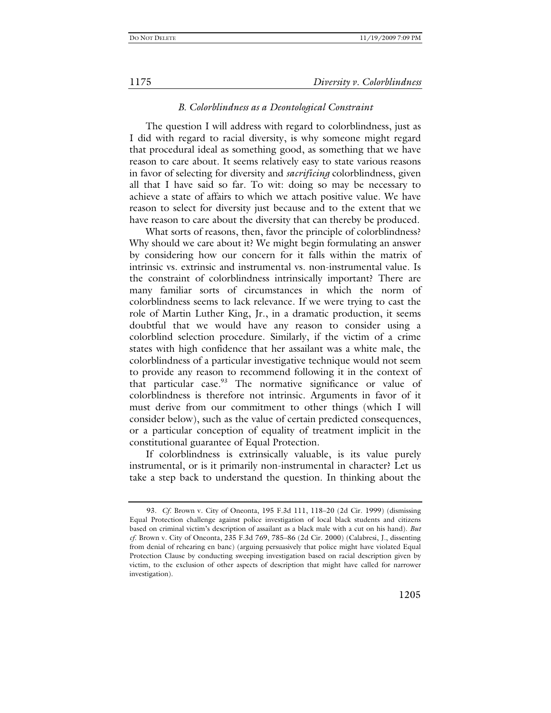## *B. Colorblindness as a Deontological Constraint*

The question I will address with regard to colorblindness, just as I did with regard to racial diversity, is why someone might regard that procedural ideal as something good, as something that we have reason to care about. It seems relatively easy to state various reasons in favor of selecting for diversity and *sacrificing* colorblindness, given all that I have said so far. To wit: doing so may be necessary to achieve a state of affairs to which we attach positive value. We have reason to select for diversity just because and to the extent that we have reason to care about the diversity that can thereby be produced.

What sorts of reasons, then, favor the principle of colorblindness? Why should we care about it? We might begin formulating an answer by considering how our concern for it falls within the matrix of intrinsic vs. extrinsic and instrumental vs. non-instrumental value. Is the constraint of colorblindness intrinsically important? There are many familiar sorts of circumstances in which the norm of colorblindness seems to lack relevance. If we were trying to cast the role of Martin Luther King, Jr., in a dramatic production, it seems doubtful that we would have any reason to consider using a colorblind selection procedure. Similarly, if the victim of a crime states with high confidence that her assailant was a white male, the colorblindness of a particular investigative technique would not seem to provide any reason to recommend following it in the context of that particular case.<sup>93</sup> The normative significance or value of colorblindness is therefore not intrinsic. Arguments in favor of it must derive from our commitment to other things (which I will consider below), such as the value of certain predicted consequences, or a particular conception of equality of treatment implicit in the constitutional guarantee of Equal Protection.

If colorblindness is extrinsically valuable, is its value purely instrumental, or is it primarily non-instrumental in character? Let us take a step back to understand the question. In thinking about the

<sup>93</sup>*. Cf.* Brown v. City of Oneonta, 195 F.3d 111, 118–20 (2d Cir. 1999) (dismissing Equal Protection challenge against police investigation of local black students and citizens based on criminal victim's description of assailant as a black male with a cut on his hand). *But cf.* Brown v. City of Oneonta, 235 F.3d 769, 785–86 (2d Cir. 2000) (Calabresi, J., dissenting from denial of rehearing en banc) (arguing persuasively that police might have violated Equal Protection Clause by conducting sweeping investigation based on racial description given by victim, to the exclusion of other aspects of description that might have called for narrower investigation).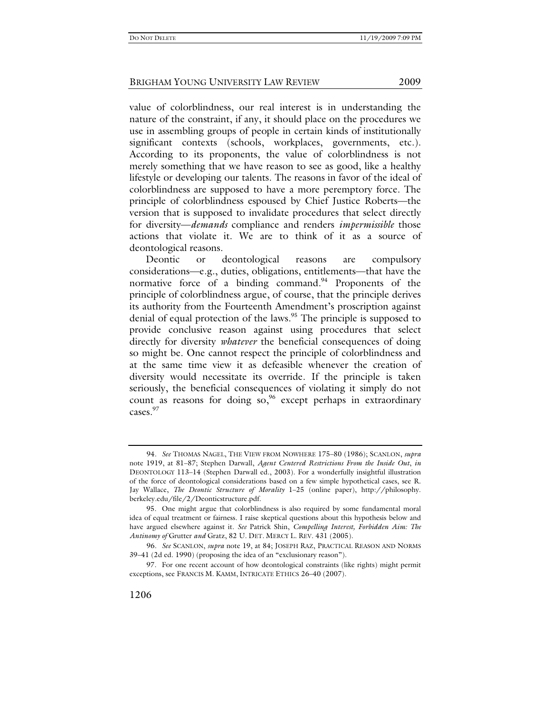value of colorblindness, our real interest is in understanding the nature of the constraint, if any, it should place on the procedures we use in assembling groups of people in certain kinds of institutionally significant contexts (schools, workplaces, governments, etc.). According to its proponents, the value of colorblindness is not merely something that we have reason to see as good, like a healthy lifestyle or developing our talents. The reasons in favor of the ideal of colorblindness are supposed to have a more peremptory force. The principle of colorblindness espoused by Chief Justice Roberts—the version that is supposed to invalidate procedures that select directly for diversity—*demands* compliance and renders *impermissible* those actions that violate it. We are to think of it as a source of deontological reasons.

Deontic or deontological reasons are compulsory considerations—e.g., duties, obligations, entitlements—that have the normative force of a binding command. $94$  Proponents of the principle of colorblindness argue, of course, that the principle derives its authority from the Fourteenth Amendment's proscription against denial of equal protection of the laws.<sup>95</sup> The principle is supposed to provide conclusive reason against using procedures that select directly for diversity *whatever* the beneficial consequences of doing so might be. One cannot respect the principle of colorblindness and at the same time view it as defeasible whenever the creation of diversity would necessitate its override. If the principle is taken seriously, the beneficial consequences of violating it simply do not count as reasons for doing  ${so}^{96}$ , except perhaps in extraordinary cases.<sup>97</sup>

<sup>94</sup>*. See* THOMAS NAGEL, THE VIEW FROM NOWHERE 175–80 (1986); SCANLON, *supra*  note 1919, at 81–87; Stephen Darwall, *Agent Centered Restrictions From the Inside Out*, *in*  DEONTOLOGY 113–14 (Stephen Darwall ed., 2003). For a wonderfully insightful illustration of the force of deontological considerations based on a few simple hypothetical cases, see R. Jay Wallace, *The Deontic Structure of Morality* 1–25 (online paper), http://philosophy. berkeley.edu/file/2/Deonticstructure.pdf.

 <sup>95.</sup> One might argue that colorblindness is also required by some fundamental moral idea of equal treatment or fairness. I raise skeptical questions about this hypothesis below and have argued elsewhere against it. *See* Patrick Shin, *Compelling Interest, Forbidden Aim: The Antinomy of* Grutter *and* Gratz, 82 U. DET. MERCY L. REV. 431 (2005).

<sup>96</sup>*. See* SCANLON, *supra* note 19, at 84; JOSEPH RAZ, PRACTICAL REASON AND NORMS 39–41 (2d ed. 1990) (proposing the idea of an "exclusionary reason").

 <sup>97.</sup> For one recent account of how deontological constraints (like rights) might permit exceptions, see FRANCIS M. KAMM, INTRICATE ETHICS 26–40 (2007).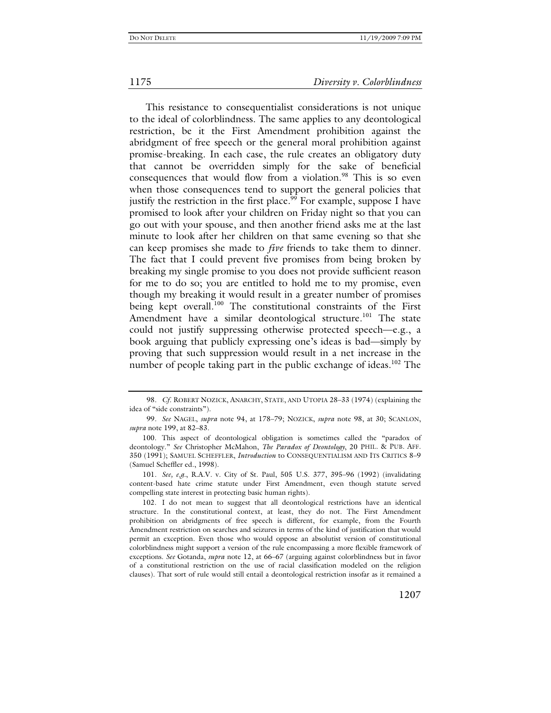This resistance to consequentialist considerations is not unique to the ideal of colorblindness. The same applies to any deontological restriction, be it the First Amendment prohibition against the abridgment of free speech or the general moral prohibition against promise-breaking. In each case, the rule creates an obligatory duty that cannot be overridden simply for the sake of beneficial consequences that would flow from a violation.<sup>98</sup> This is so even when those consequences tend to support the general policies that justify the restriction in the first place.<sup>99</sup> For example, suppose I have promised to look after your children on Friday night so that you can go out with your spouse, and then another friend asks me at the last minute to look after her children on that same evening so that she can keep promises she made to *five* friends to take them to dinner. The fact that I could prevent five promises from being broken by breaking my single promise to you does not provide sufficient reason for me to do so; you are entitled to hold me to my promise, even though my breaking it would result in a greater number of promises being kept overall.<sup>100</sup> The constitutional constraints of the First Amendment have a similar deontological structure.<sup>101</sup> The state could not justify suppressing otherwise protected speech—e.g., a book arguing that publicly expressing one's ideas is bad—simply by proving that such suppression would result in a net increase in the number of people taking part in the public exchange of ideas.<sup>102</sup> The

<sup>98</sup>*. Cf.* ROBERT NOZICK, ANARCHY, STATE, AND UTOPIA 28–33 (1974) (explaining the idea of "side constraints").

<sup>99</sup>*. See* NAGEL, *supra* note 94, at 178–79; NOZICK, *supra* note 98, at 30; SCANLON, *supra* note 199, at 82–83.

 <sup>100.</sup> This aspect of deontological obligation is sometimes called the "paradox of deontology." *See* Christopher McMahon, *The Paradox of Deontology*, 20 PHIL. & PUB. AFF. 350 (1991); SAMUEL SCHEFFLER, *Introduction* to CONSEQUENTIALISM AND ITS CRITICS 8–9 (Samuel Scheffler ed., 1998).

<sup>101</sup>*. See, e.g.*, R.A.V. v. City of St. Paul, 505 U.S. 377, 395–96 (1992) (invalidating content-based hate crime statute under First Amendment, even though statute served compelling state interest in protecting basic human rights).

 <sup>102.</sup> I do not mean to suggest that all deontological restrictions have an identical structure. In the constitutional context, at least, they do not. The First Amendment prohibition on abridgments of free speech is different, for example, from the Fourth Amendment restriction on searches and seizures in terms of the kind of justification that would permit an exception. Even those who would oppose an absolutist version of constitutional colorblindness might support a version of the rule encompassing a more flexible framework of exceptions. *See* Gotanda, *supra* note 12, at 66–67 (arguing against colorblindness but in favor of a constitutional restriction on the use of racial classification modeled on the religion clauses). That sort of rule would still entail a deontological restriction insofar as it remained a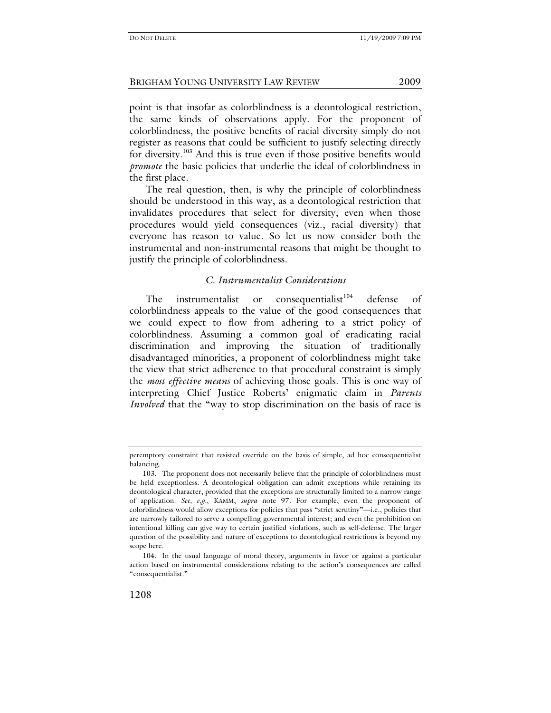point is that insofar as colorblindness is a deontological restriction, the same kinds of observations apply. For the proponent of colorblindness, the positive benefits of racial diversity simply do not register as reasons that could be sufficient to justify selecting directly for diversity.103 And this is true even if those positive benefits would *promote* the basic policies that underlie the ideal of colorblindness in the first place.

The real question, then, is why the principle of colorblindness should be understood in this way, as a deontological restriction that invalidates procedures that select for diversity, even when those procedures would yield consequences (viz., racial diversity) that everyone has reason to value. So let us now consider both the instrumental and non-instrumental reasons that might be thought to justify the principle of colorblindness.

# *C. Instrumentalist Considerations*

The instrumentalist or consequentialist<sup>104</sup> defense of colorblindness appeals to the value of the good consequences that we could expect to flow from adhering to a strict policy of colorblindness. Assuming a common goal of eradicating racial discrimination and improving the situation of traditionally disadvantaged minorities, a proponent of colorblindness might take the view that strict adherence to that procedural constraint is simply the *most effective means* of achieving those goals. This is one way of interpreting Chief Justice Roberts' enigmatic claim in *Parents Involved* that the "way to stop discrimination on the basis of race is

peremptory constraint that resisted override on the basis of simple, ad hoc consequentialist balancing.

 <sup>103.</sup> The proponent does not necessarily believe that the principle of colorblindness must be held exceptionless. A deontological obligation can admit exceptions while retaining its deontological character, provided that the exceptions are structurally limited to a narrow range of application. *See, e.g.*, KAMM, *supra* note 97. For example, even the proponent of colorblindness would allow exceptions for policies that pass "strict scrutiny"—i.e., policies that are narrowly tailored to serve a compelling governmental interest; and even the prohibition on intentional killing can give way to certain justified violations, such as self-defense. The larger question of the possibility and nature of exceptions to deontological restrictions is beyond my scope here.

 <sup>104.</sup> In the usual language of moral theory, arguments in favor or against a particular action based on instrumental considerations relating to the action's consequences are called "consequentialist."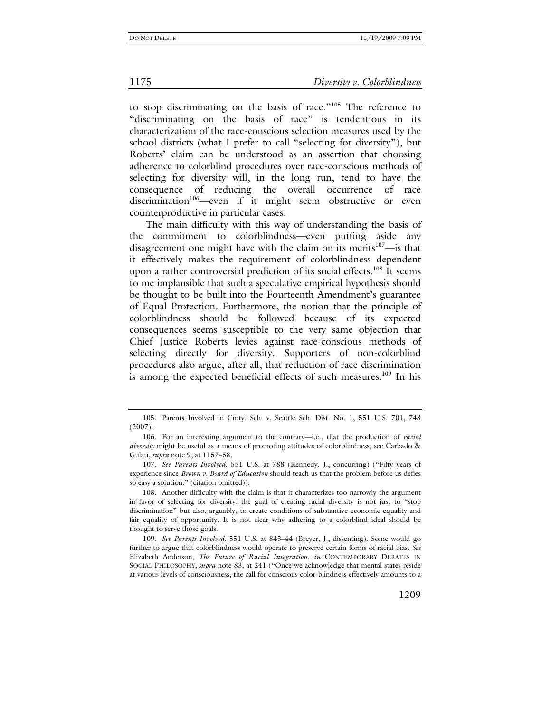to stop discriminating on the basis of race."105 The reference to "discriminating on the basis of race" is tendentious in its characterization of the race-conscious selection measures used by the school districts (what I prefer to call "selecting for diversity"), but Roberts' claim can be understood as an assertion that choosing adherence to colorblind procedures over race-conscious methods of selecting for diversity will, in the long run, tend to have the consequence of reducing the overall occurrence of race discrimination<sup>106</sup>—even if it might seem obstructive or even counterproductive in particular cases.

The main difficulty with this way of understanding the basis of the commitment to colorblindness—even putting aside any disagreement one might have with the claim on its merits $107$ —is that it effectively makes the requirement of colorblindness dependent upon a rather controversial prediction of its social effects.<sup>108</sup> It seems to me implausible that such a speculative empirical hypothesis should be thought to be built into the Fourteenth Amendment's guarantee of Equal Protection. Furthermore, the notion that the principle of colorblindness should be followed because of its expected consequences seems susceptible to the very same objection that Chief Justice Roberts levies against race-conscious methods of selecting directly for diversity. Supporters of non-colorblind procedures also argue, after all, that reduction of race discrimination is among the expected beneficial effects of such measures.<sup>109</sup> In his

107*. See Parents Involved*, 551 U.S. at 788 (Kennedy, J., concurring) ("Fifty years of experience since *Brown v. Board of Education* should teach us that the problem before us defies so easy a solution." (citation omitted)).

 108. Another difficulty with the claim is that it characterizes too narrowly the argument in favor of selecting for diversity: the goal of creating racial diversity is not just to "stop discrimination" but also, arguably, to create conditions of substantive economic equality and fair equality of opportunity. It is not clear why adhering to a colorblind ideal should be thought to serve those goals.

109*. See Parents Involved*, 551 U.S*.* at 843–44 (Breyer, J., dissenting). Some would go further to argue that colorblindness would operate to preserve certain forms of racial bias. *See* Elizabeth Anderson, *The Future of Racial Integration*, *in* CONTEMPORARY DEBATES IN SOCIAL PHILOSOPHY, *supra* note 83, at 241 ("Once we acknowledge that mental states reside at various levels of consciousness, the call for conscious color-blindness effectively amounts to a

 <sup>105.</sup> Parents Involved in Cmty. Sch. v. Seattle Sch. Dist. No. 1, 551 U.S. 701, 748 (2007).

 <sup>106.</sup> For an interesting argument to the contrary—i.e., that the production of *racial diversity* might be useful as a means of promoting attitudes of colorblindness, see Carbado & Gulati, *supra* note 9, at 1157–58.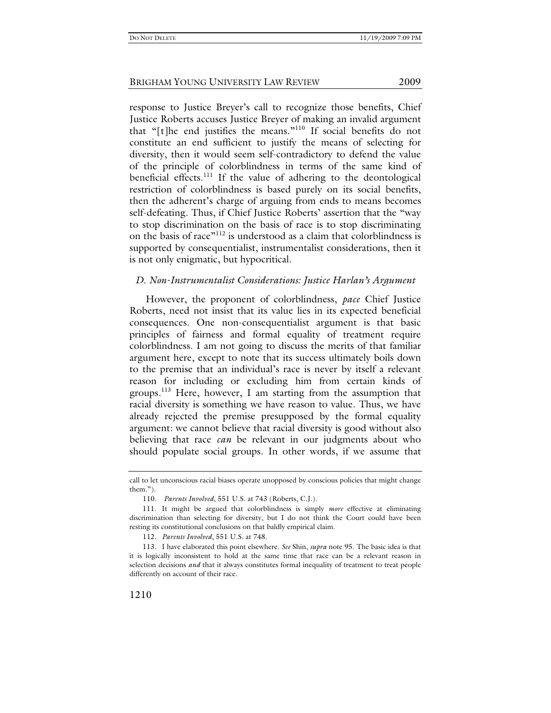response to Justice Breyer's call to recognize those benefits, Chief Justice Roberts accuses Justice Breyer of making an invalid argument that "[t]he end justifies the means."110 If social benefits do not constitute an end sufficient to justify the means of selecting for diversity, then it would seem self-contradictory to defend the value of the principle of colorblindness in terms of the same kind of beneficial effects.<sup>111</sup> If the value of adhering to the deontological restriction of colorblindness is based purely on its social benefits, then the adherent's charge of arguing from ends to means becomes self-defeating. Thus, if Chief Justice Roberts' assertion that the "way to stop discrimination on the basis of race is to stop discriminating on the basis of race"112 is understood as a claim that colorblindness is supported by consequentialist, instrumentalist considerations, then it is not only enigmatic, but hypocritical.

## *D. Non-Instrumentalist Considerations: Justice Harlan's Argument*

However, the proponent of colorblindness, *pace* Chief Justice Roberts, need not insist that its value lies in its expected beneficial consequences. One non-consequentialist argument is that basic principles of fairness and formal equality of treatment require colorblindness. I am not going to discuss the merits of that familiar argument here, except to note that its success ultimately boils down to the premise that an individual's race is never by itself a relevant reason for including or excluding him from certain kinds of groups.<sup>113</sup> Here, however, I am starting from the assumption that racial diversity is something we have reason to value. Thus, we have already rejected the premise presupposed by the formal equality argument: we cannot believe that racial diversity is good without also believing that race *can* be relevant in our judgments about who should populate social groups. In other words, if we assume that

call to let unconscious racial biases operate unopposed by conscious policies that might change them.").

<sup>110</sup>*. Parents Involved*, 551 U.S. at 743 (Roberts, C.J.).

 <sup>111.</sup> It might be argued that colorblindness is simply *more* effective at eliminating discrimination than selecting for diversity, but I do not think the Court could have been resting its constitutional conclusions on that baldly empirical claim.

<sup>112</sup>*. Parents Involved*, 551 U.S. at 748.

 <sup>113.</sup> I have elaborated this point elsewhere. *See* Shin, *supra* note 95. The basic idea is that it is logically inconsistent to hold at the same time that race can be a relevant reason in selection decisions *and* that it always constitutes formal inequality of treatment to treat people differently on account of their race.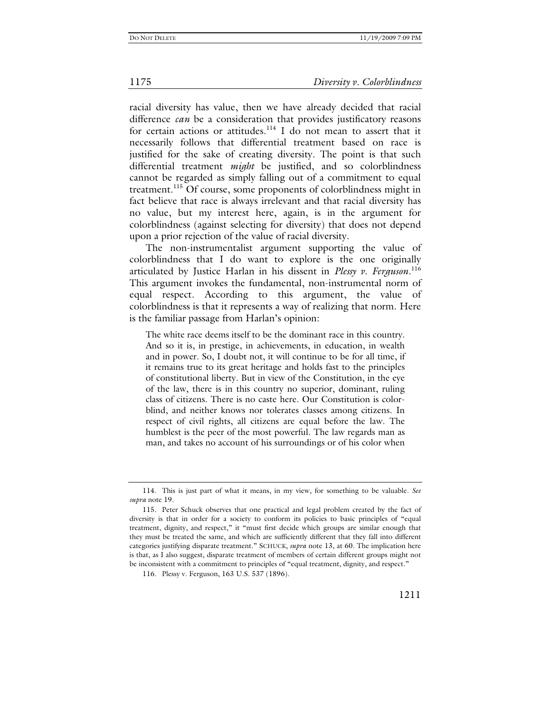racial diversity has value, then we have already decided that racial difference *can* be a consideration that provides justificatory reasons for certain actions or attitudes.<sup>114</sup> I do not mean to assert that it necessarily follows that differential treatment based on race is justified for the sake of creating diversity. The point is that such differential treatment *might* be justified, and so colorblindness cannot be regarded as simply falling out of a commitment to equal treatment.115 Of course, some proponents of colorblindness might in fact believe that race is always irrelevant and that racial diversity has no value, but my interest here, again, is in the argument for colorblindness (against selecting for diversity) that does not depend upon a prior rejection of the value of racial diversity.

The non-instrumentalist argument supporting the value of colorblindness that I do want to explore is the one originally articulated by Justice Harlan in his dissent in *Plessy v. Ferguson*. 116 This argument invokes the fundamental, non-instrumental norm of equal respect. According to this argument, the value of colorblindness is that it represents a way of realizing that norm. Here is the familiar passage from Harlan's opinion:

The white race deems itself to be the dominant race in this country. And so it is, in prestige, in achievements, in education, in wealth and in power. So, I doubt not, it will continue to be for all time, if it remains true to its great heritage and holds fast to the principles of constitutional liberty. But in view of the Constitution, in the eye of the law, there is in this country no superior, dominant, ruling class of citizens. There is no caste here. Our Constitution is colorblind, and neither knows nor tolerates classes among citizens. In respect of civil rights, all citizens are equal before the law. The humblest is the peer of the most powerful. The law regards man as man, and takes no account of his surroundings or of his color when

 <sup>114.</sup> This is just part of what it means, in my view, for something to be valuable. *See supra* note 19.

 <sup>115.</sup> Peter Schuck observes that one practical and legal problem created by the fact of diversity is that in order for a society to conform its policies to basic principles of "equal treatment, dignity, and respect," it "must first decide which groups are similar enough that they must be treated the same, and which are sufficiently different that they fall into different categories justifying disparate treatment." SCHUCK, *supra* note 13, at 60. The implication here is that, as I also suggest, disparate treatment of members of certain different groups might not be inconsistent with a commitment to principles of "equal treatment, dignity, and respect."

 <sup>116.</sup> Plessy v. Ferguson, 163 U.S. 537 (1896).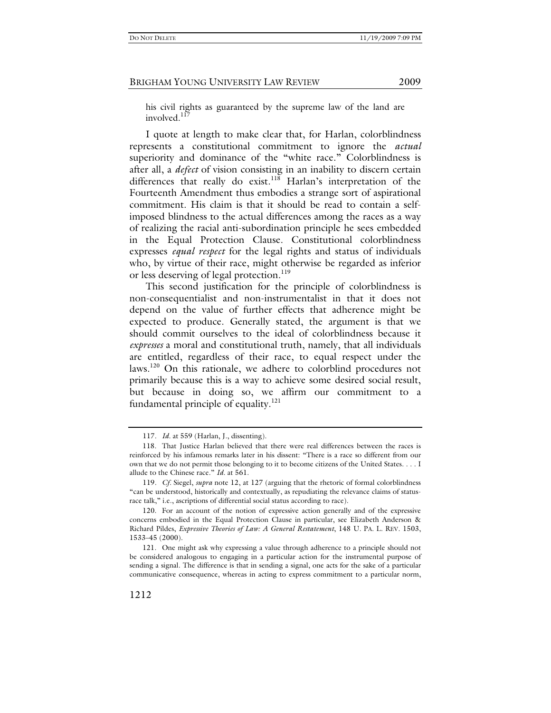his civil rights as guaranteed by the supreme law of the land are involved.<sup>117</sup>

I quote at length to make clear that, for Harlan, colorblindness represents a constitutional commitment to ignore the *actual* superiority and dominance of the "white race." Colorblindness is after all, a *defect* of vision consisting in an inability to discern certain differences that really do exist.<sup>118</sup> Harlan's interpretation of the Fourteenth Amendment thus embodies a strange sort of aspirational commitment. His claim is that it should be read to contain a selfimposed blindness to the actual differences among the races as a way of realizing the racial anti-subordination principle he sees embedded in the Equal Protection Clause. Constitutional colorblindness expresses *equal respect* for the legal rights and status of individuals who, by virtue of their race, might otherwise be regarded as inferior or less deserving of legal protection.<sup>119</sup>

This second justification for the principle of colorblindness is non-consequentialist and non-instrumentalist in that it does not depend on the value of further effects that adherence might be expected to produce. Generally stated, the argument is that we should commit ourselves to the ideal of colorblindness because it *expresses* a moral and constitutional truth, namely, that all individuals are entitled, regardless of their race, to equal respect under the laws.<sup>120</sup> On this rationale, we adhere to colorblind procedures not primarily because this is a way to achieve some desired social result, but because in doing so, we affirm our commitment to a fundamental principle of equality. $121$ 

<sup>117</sup>*. Id.* at 559 (Harlan, J., dissenting).

 <sup>118.</sup> That Justice Harlan believed that there were real differences between the races is reinforced by his infamous remarks later in his dissent: "There is a race so different from our own that we do not permit those belonging to it to become citizens of the United States. . . . I allude to the Chinese race." *Id.* at 561.

<sup>119</sup>*. Cf.* Siegel, *supra* note 12, at 127 (arguing that the rhetoric of formal colorblindness "can be understood, historically and contextually, as repudiating the relevance claims of statusrace talk," i.e., ascriptions of differential social status according to race).

 <sup>120.</sup> For an account of the notion of expressive action generally and of the expressive concerns embodied in the Equal Protection Clause in particular, see Elizabeth Anderson & Richard Pildes, *Expressive Theories of Law: A General Restatement*, 148 U. PA. L. REV. 1503, 1533–45 (2000).

 <sup>121.</sup> One might ask why expressing a value through adherence to a principle should not be considered analogous to engaging in a particular action for the instrumental purpose of sending a signal. The difference is that in sending a signal, one acts for the sake of a particular communicative consequence, whereas in acting to express commitment to a particular norm,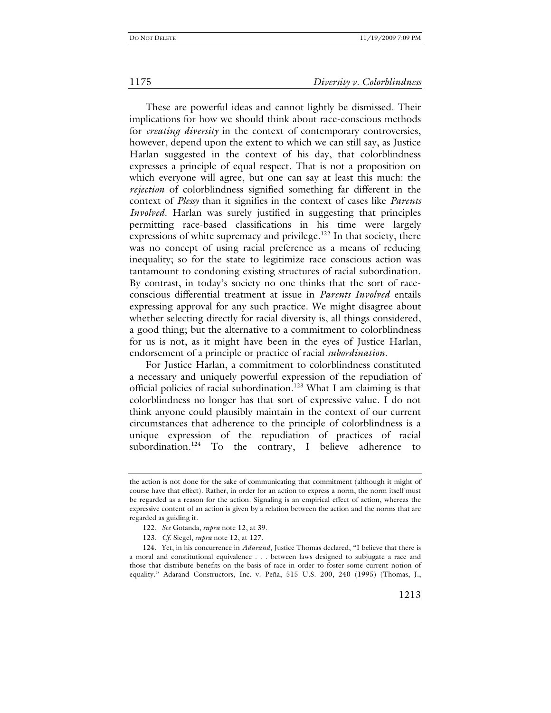These are powerful ideas and cannot lightly be dismissed. Their implications for how we should think about race-conscious methods for *creating diversity* in the context of contemporary controversies, however, depend upon the extent to which we can still say, as Justice Harlan suggested in the context of his day, that colorblindness expresses a principle of equal respect. That is not a proposition on which everyone will agree, but one can say at least this much: the *rejection* of colorblindness signified something far different in the context of *Plessy* than it signifies in the context of cases like *Parents Involved*. Harlan was surely justified in suggesting that principles permitting race-based classifications in his time were largely expressions of white supremacy and privilege. $122$  In that society, there was no concept of using racial preference as a means of reducing inequality; so for the state to legitimize race conscious action was tantamount to condoning existing structures of racial subordination. By contrast, in today's society no one thinks that the sort of raceconscious differential treatment at issue in *Parents Involved* entails expressing approval for any such practice. We might disagree about whether selecting directly for racial diversity is, all things considered, a good thing; but the alternative to a commitment to colorblindness for us is not, as it might have been in the eyes of Justice Harlan, endorsement of a principle or practice of racial *subordination*.

For Justice Harlan, a commitment to colorblindness constituted a necessary and uniquely powerful expression of the repudiation of official policies of racial subordination.<sup>123</sup> What I am claiming is that colorblindness no longer has that sort of expressive value. I do not think anyone could plausibly maintain in the context of our current circumstances that adherence to the principle of colorblindness is a unique expression of the repudiation of practices of racial subordination.<sup>124</sup> To the contrary, I believe adherence to

the action is not done for the sake of communicating that commitment (although it might of course have that effect). Rather, in order for an action to express a norm, the norm itself must be regarded as a reason for the action. Signaling is an empirical effect of action, whereas the expressive content of an action is given by a relation between the action and the norms that are regarded as guiding it.

<sup>122</sup>*. See* Gotanda, *supra* note 12, at 39.

<sup>123</sup>*. Cf.* Siegel, *supra* note 12, at 127.

 <sup>124.</sup> Yet, in his concurrence in *Adarand*, Justice Thomas declared, "I believe that there is a moral and constitutional equivalence . . . between laws designed to subjugate a race and those that distribute benefits on the basis of race in order to foster some current notion of equality." Adarand Constructors, Inc. v. Peña, 515 U.S. 200, 240 (1995) (Thomas, J.,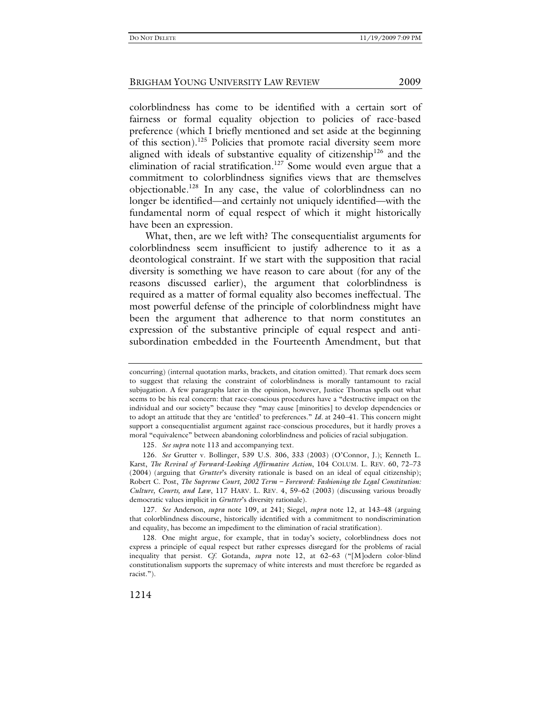colorblindness has come to be identified with a certain sort of fairness or formal equality objection to policies of race-based preference (which I briefly mentioned and set aside at the beginning of this section).<sup>125</sup> Policies that promote racial diversity seem more aligned with ideals of substantive equality of citizenship<sup>126</sup> and the elimination of racial stratification.<sup>127</sup> Some would even argue that a commitment to colorblindness signifies views that are themselves objectionable.128 In any case, the value of colorblindness can no longer be identified—and certainly not uniquely identified—with the fundamental norm of equal respect of which it might historically have been an expression.

What, then, are we left with? The consequentialist arguments for colorblindness seem insufficient to justify adherence to it as a deontological constraint. If we start with the supposition that racial diversity is something we have reason to care about (for any of the reasons discussed earlier), the argument that colorblindness is required as a matter of formal equality also becomes ineffectual. The most powerful defense of the principle of colorblindness might have been the argument that adherence to that norm constitutes an expression of the substantive principle of equal respect and antisubordination embedded in the Fourteenth Amendment, but that

concurring) (internal quotation marks, brackets, and citation omitted). That remark does seem to suggest that relaxing the constraint of colorblindness is morally tantamount to racial subjugation. A few paragraphs later in the opinion, however, Justice Thomas spells out what seems to be his real concern: that race-conscious procedures have a "destructive impact on the individual and our society" because they "may cause [minorities] to develop dependencies or to adopt an attitude that they are 'entitled' to preferences." *Id.* at 240–41. This concern might support a consequentialist argument against race-conscious procedures, but it hardly proves a moral "equivalence" between abandoning colorblindness and policies of racial subjugation.

<sup>125</sup>*. See supra* note 113 and accompanying text.

<sup>126</sup>*. See* Grutter v. Bollinger, 539 U.S. 306, 333 (2003) (O'Connor, J.); Kenneth L. Karst, *The Revival of Forward-Looking Affirmative Action*, 104 COLUM. L. REV. 60, 72–73 (2004) (arguing that *Grutter*'s diversity rationale is based on an ideal of equal citizenship); Robert C. Post, *The Supreme Court, 2002 Term – Foreword: Fashioning the Legal Constitution: Culture, Courts, and Law*, 117 HARV. L. REV. 4, 59–62 (2003) (discussing various broadly democratic values implicit in *Grutter*'s diversity rationale).

<sup>127</sup>*. See* Anderson, *supra* note 109, at 241; Siegel, *supra* note 12, at 143–48 (arguing that colorblindness discourse, historically identified with a commitment to nondiscrimination and equality, has become an impediment to the elimination of racial stratification).

 <sup>128.</sup> One might argue, for example, that in today's society, colorblindness does not express a principle of equal respect but rather expresses disregard for the problems of racial inequality that persist. *Cf.* Gotanda, *supra* note 12, at 62–63 ("[M]odern color-blind constitutionalism supports the supremacy of white interests and must therefore be regarded as racist.").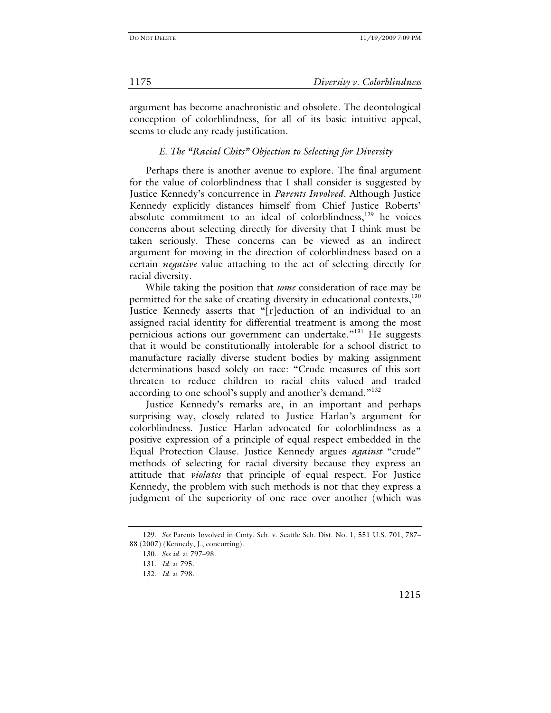argument has become anachronistic and obsolete. The deontological conception of colorblindness, for all of its basic intuitive appeal, seems to elude any ready justification.

# *E. The "Racial Chits" Objection to Selecting for Diversity*

Perhaps there is another avenue to explore. The final argument for the value of colorblindness that I shall consider is suggested by Justice Kennedy's concurrence in *Parents Involved*. Although Justice Kennedy explicitly distances himself from Chief Justice Roberts' absolute commitment to an ideal of colorblindness,<sup>129</sup> he voices concerns about selecting directly for diversity that I think must be taken seriously. These concerns can be viewed as an indirect argument for moving in the direction of colorblindness based on a certain *negative* value attaching to the act of selecting directly for racial diversity.

While taking the position that *some* consideration of race may be permitted for the sake of creating diversity in educational contexts,<sup>130</sup> Justice Kennedy asserts that "[r]eduction of an individual to an assigned racial identity for differential treatment is among the most pernicious actions our government can undertake."131 He suggests that it would be constitutionally intolerable for a school district to manufacture racially diverse student bodies by making assignment determinations based solely on race: "Crude measures of this sort threaten to reduce children to racial chits valued and traded according to one school's supply and another's demand."<sup>132</sup>

Justice Kennedy's remarks are, in an important and perhaps surprising way, closely related to Justice Harlan's argument for colorblindness. Justice Harlan advocated for colorblindness as a positive expression of a principle of equal respect embedded in the Equal Protection Clause. Justice Kennedy argues *against* "crude" methods of selecting for racial diversity because they express an attitude that *violates* that principle of equal respect. For Justice Kennedy, the problem with such methods is not that they express a judgment of the superiority of one race over another (which was

1175 *Diversity v. Colorblindness*

<sup>129</sup>*. See* Parents Involved in Cmty. Sch. v. Seattle Sch. Dist. No. 1, 551 U.S. 701, 787– 88 (2007) (Kennedy, J., concurring).

<sup>130</sup>*. See id.* at 797–98.

<sup>131</sup>*. Id.* at 795.

<sup>132</sup>*. Id.* at 798.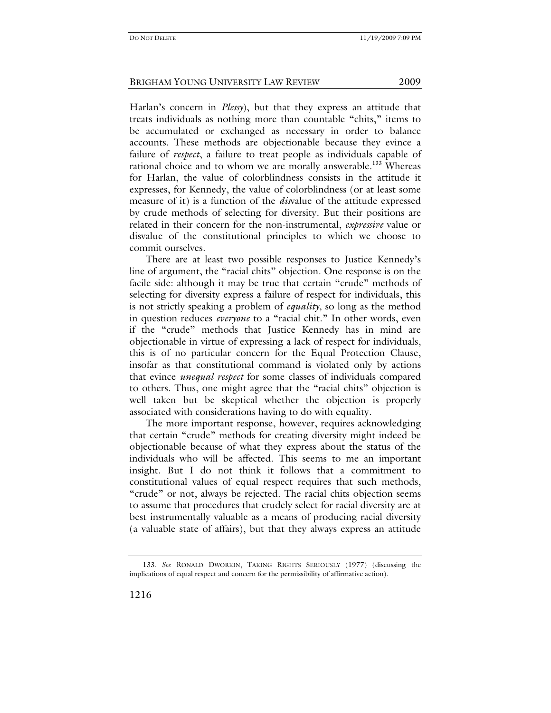Harlan's concern in *Plessy*), but that they express an attitude that treats individuals as nothing more than countable "chits," items to be accumulated or exchanged as necessary in order to balance accounts. These methods are objectionable because they evince a failure of *respect*, a failure to treat people as individuals capable of rational choice and to whom we are morally answerable.<sup>133</sup> Whereas for Harlan, the value of colorblindness consists in the attitude it expresses, for Kennedy, the value of colorblindness (or at least some measure of it) is a function of the *dis*value of the attitude expressed by crude methods of selecting for diversity. But their positions are related in their concern for the non-instrumental, *expressive* value or disvalue of the constitutional principles to which we choose to commit ourselves.

There are at least two possible responses to Justice Kennedy's line of argument, the "racial chits" objection. One response is on the facile side: although it may be true that certain "crude" methods of selecting for diversity express a failure of respect for individuals, this is not strictly speaking a problem of *equality*, so long as the method in question reduces *everyone* to a "racial chit." In other words, even if the "crude" methods that Justice Kennedy has in mind are objectionable in virtue of expressing a lack of respect for individuals, this is of no particular concern for the Equal Protection Clause, insofar as that constitutional command is violated only by actions that evince *unequal respect* for some classes of individuals compared to others. Thus, one might agree that the "racial chits" objection is well taken but be skeptical whether the objection is properly associated with considerations having to do with equality.

The more important response, however, requires acknowledging that certain "crude" methods for creating diversity might indeed be objectionable because of what they express about the status of the individuals who will be affected. This seems to me an important insight. But I do not think it follows that a commitment to constitutional values of equal respect requires that such methods, "crude" or not, always be rejected. The racial chits objection seems to assume that procedures that crudely select for racial diversity are at best instrumentally valuable as a means of producing racial diversity (a valuable state of affairs), but that they always express an attitude

<sup>133</sup>*. See* RONALD DWORKIN, TAKING RIGHTS SERIOUSLY (1977) (discussing the implications of equal respect and concern for the permissibility of affirmative action).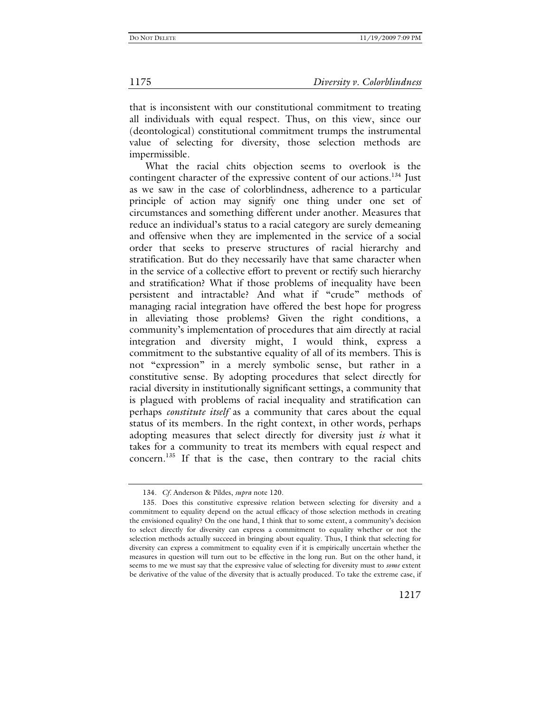that is inconsistent with our constitutional commitment to treating all individuals with equal respect. Thus, on this view, since our (deontological) constitutional commitment trumps the instrumental value of selecting for diversity, those selection methods are impermissible.

What the racial chits objection seems to overlook is the contingent character of the expressive content of our actions.<sup>134</sup> Just as we saw in the case of colorblindness, adherence to a particular principle of action may signify one thing under one set of circumstances and something different under another. Measures that reduce an individual's status to a racial category are surely demeaning and offensive when they are implemented in the service of a social order that seeks to preserve structures of racial hierarchy and stratification. But do they necessarily have that same character when in the service of a collective effort to prevent or rectify such hierarchy and stratification? What if those problems of inequality have been persistent and intractable? And what if "crude" methods of managing racial integration have offered the best hope for progress in alleviating those problems? Given the right conditions, a community's implementation of procedures that aim directly at racial integration and diversity might, I would think, express a commitment to the substantive equality of all of its members. This is not "expression" in a merely symbolic sense, but rather in a constitutive sense. By adopting procedures that select directly for racial diversity in institutionally significant settings, a community that is plagued with problems of racial inequality and stratification can perhaps *constitute itself* as a community that cares about the equal status of its members. In the right context, in other words, perhaps adopting measures that select directly for diversity just *is* what it takes for a community to treat its members with equal respect and concern.135 If that is the case, then contrary to the racial chits

<sup>134</sup>*. Cf.* Anderson & Pildes, *supra* note 120.

 <sup>135.</sup> Does this constitutive expressive relation between selecting for diversity and a commitment to equality depend on the actual efficacy of those selection methods in creating the envisioned equality? On the one hand, I think that to some extent, a community's decision to select directly for diversity can express a commitment to equality whether or not the selection methods actually succeed in bringing about equality. Thus, I think that selecting for diversity can express a commitment to equality even if it is empirically uncertain whether the measures in question will turn out to be effective in the long run. But on the other hand, it seems to me we must say that the expressive value of selecting for diversity must to *some* extent be derivative of the value of the diversity that is actually produced. To take the extreme case, if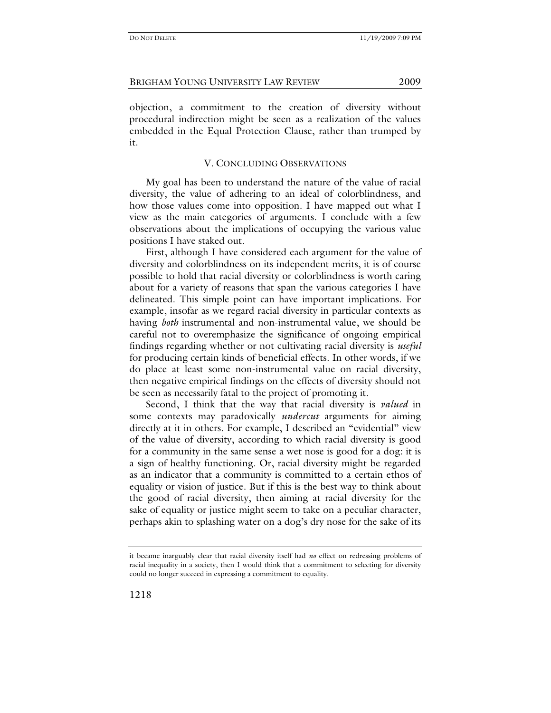objection, a commitment to the creation of diversity without procedural indirection might be seen as a realization of the values embedded in the Equal Protection Clause, rather than trumped by it.

## V. CONCLUDING OBSERVATIONS

My goal has been to understand the nature of the value of racial diversity, the value of adhering to an ideal of colorblindness, and how those values come into opposition. I have mapped out what I view as the main categories of arguments. I conclude with a few observations about the implications of occupying the various value positions I have staked out.

First, although I have considered each argument for the value of diversity and colorblindness on its independent merits, it is of course possible to hold that racial diversity or colorblindness is worth caring about for a variety of reasons that span the various categories I have delineated. This simple point can have important implications. For example, insofar as we regard racial diversity in particular contexts as having *both* instrumental and non-instrumental value, we should be careful not to overemphasize the significance of ongoing empirical findings regarding whether or not cultivating racial diversity is *useful* for producing certain kinds of beneficial effects. In other words, if we do place at least some non-instrumental value on racial diversity, then negative empirical findings on the effects of diversity should not be seen as necessarily fatal to the project of promoting it.

Second, I think that the way that racial diversity is *valued* in some contexts may paradoxically *undercut* arguments for aiming directly at it in others. For example, I described an "evidential" view of the value of diversity, according to which racial diversity is good for a community in the same sense a wet nose is good for a dog: it is a sign of healthy functioning. Or, racial diversity might be regarded as an indicator that a community is committed to a certain ethos of equality or vision of justice. But if this is the best way to think about the good of racial diversity, then aiming at racial diversity for the sake of equality or justice might seem to take on a peculiar character, perhaps akin to splashing water on a dog's dry nose for the sake of its

1218

it became inarguably clear that racial diversity itself had *no* effect on redressing problems of racial inequality in a society, then I would think that a commitment to selecting for diversity could no longer succeed in expressing a commitment to equality.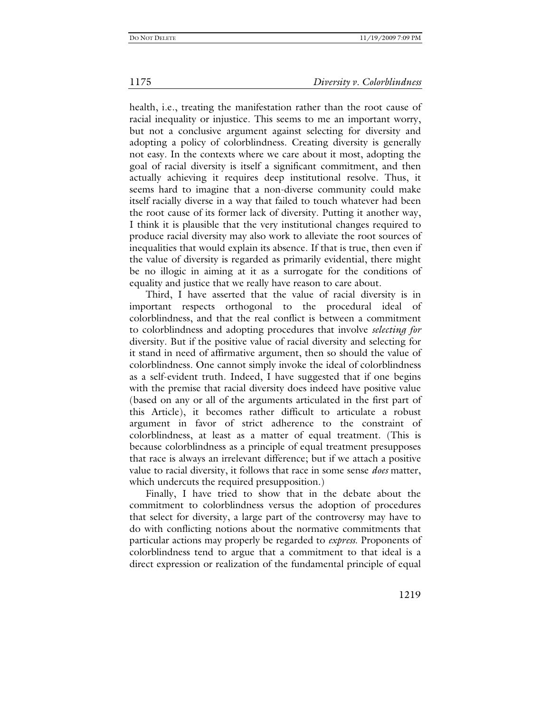health, i.e., treating the manifestation rather than the root cause of racial inequality or injustice. This seems to me an important worry, but not a conclusive argument against selecting for diversity and adopting a policy of colorblindness. Creating diversity is generally not easy. In the contexts where we care about it most, adopting the goal of racial diversity is itself a significant commitment, and then actually achieving it requires deep institutional resolve. Thus, it seems hard to imagine that a non-diverse community could make itself racially diverse in a way that failed to touch whatever had been the root cause of its former lack of diversity. Putting it another way, I think it is plausible that the very institutional changes required to produce racial diversity may also work to alleviate the root sources of inequalities that would explain its absence. If that is true, then even if the value of diversity is regarded as primarily evidential, there might be no illogic in aiming at it as a surrogate for the conditions of equality and justice that we really have reason to care about.

Third, I have asserted that the value of racial diversity is in important respects orthogonal to the procedural ideal of colorblindness, and that the real conflict is between a commitment to colorblindness and adopting procedures that involve *selecting for* diversity. But if the positive value of racial diversity and selecting for it stand in need of affirmative argument, then so should the value of colorblindness. One cannot simply invoke the ideal of colorblindness as a self-evident truth. Indeed, I have suggested that if one begins with the premise that racial diversity does indeed have positive value (based on any or all of the arguments articulated in the first part of this Article), it becomes rather difficult to articulate a robust argument in favor of strict adherence to the constraint of colorblindness, at least as a matter of equal treatment. (This is because colorblindness as a principle of equal treatment presupposes that race is always an irrelevant difference; but if we attach a positive value to racial diversity, it follows that race in some sense *does* matter, which undercuts the required presupposition.)

Finally, I have tried to show that in the debate about the commitment to colorblindness versus the adoption of procedures that select for diversity, a large part of the controversy may have to do with conflicting notions about the normative commitments that particular actions may properly be regarded to *express*. Proponents of colorblindness tend to argue that a commitment to that ideal is a direct expression or realization of the fundamental principle of equal